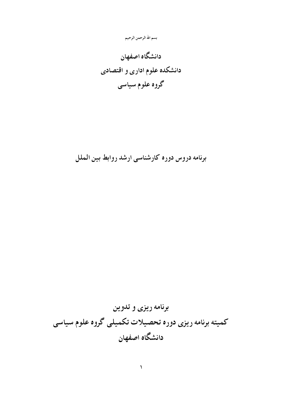# بسم الله الرحمن الرحيم

دانشگاه اصفهان دانشکده علوم اداری و اقتصادی گروه علوم سياسي

برنامه دروس دوره كارشناسي ارشد روابط بين الملل

برنامه ریزی و تدوین كميته برنامه ريزي دوره تحصيلات تكميلي گروه علوم سياسي دانشگاه اصفهان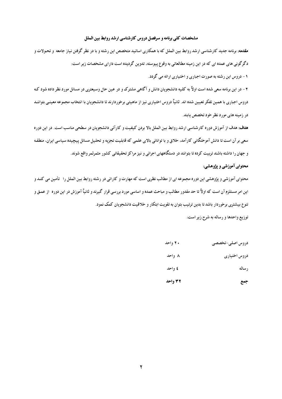#### مشخصات کلی برنامه و سرفصل دروس کارشناسی ارشد روابط بین الملل

مقدمه: برنامه جدید کارشناسی ارشد روابط بین الملل که با همکاری اساتید متخصص این رشته و با در نظر گرفتن نیاز جامعه و تحولات و دگرگونی های عمده ای که در این زمینه مطالعاتی به وقوع پیوسته، تدوین گردیده است دارای مشخصات زیر است:

۱ – دروس این رشته به صورت اجباری و اختیاری ارائه می گردد.

۲ - در این برنامه سعی شده است اولاً به کلیه دانشجویان دانش و آگاهی مشترک و در عین حال وسیعتری در مسائل مورد نظر داده شود که دروس اجباري با همين تفكر تعيين شده اند. ثانياً دروس اختياري نيز از ماهيتي برخوردارند تا دانشجويان با انتخاب مجموعه معينبي بتواننـد در زمینه های مورد نظر خود تخصص یابند.

هدف: هدف از آموزش دوره کارشناسی ارشد روابط بین الملل بالا بردن کیفیت و کارآئی دانشجویان در سطحی مناسب است. در این دوره سعی بر آن است تا دانش آموختگانی کارآمد، خلاق و با توانائی بالای علمی که قابلیت تجزیه و تحلیل مسائل پیچیده سیاسی ایران، منطقه و جهان را داشته باشند تربیت کرده تا بتوانند در دستگاههای اجرائی و نیز مراکز تحقیقاتی کشور مثمرثمر واقع شوند.

## محتوای آموزشی و یژوهشی:

محتوای آموزشی و پژوهشی این دوره مجموعه ای از مطالب نظری است که مهارت و کارائی در رشته روابط بین الملل را \_تأمین می کنید و این امر مستلزم آن است که اولاً تا حد مقدور مطالب و مباحث عمده و اساسی مورد بررسی قرار گیرند و ثانیاً آموزش در این دوره آز عمـق و تنوع بیشتری برخوردار باشد تا بدین ترتیب بتوان به تقویت ابتکار و خلاقیت دانشجویان کمک نمود.

توزیع واحدها و رساله به شرح زیر است:

| دروس أصلى-تخصصى | ۲۰ واحد |
|-----------------|---------|
| دروس اختياري    | ۸ واحد  |
| رساله           | ٤ واحد  |
| جمع             | ۳۲ واحد |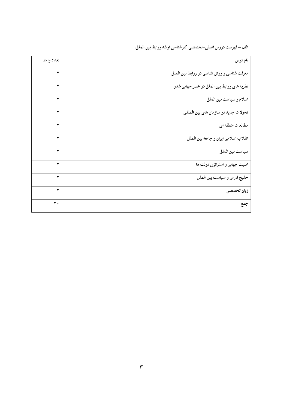الف – فهرست دروس اصلی–تخصصی کارشناسی ارشد روابط بین الملل:

| نام درس                                    | تعداد واحد |
|--------------------------------------------|------------|
| معرفت شناسی و روش شناسی در روابط بین الملل | ۲          |
| نظریه های روابط بین الملل در عصر جهانی شدن | ۲          |
| اسلام و سياست بين الملل                    | ۲          |
| تحولات جدید در سازمان های بین المللی       | ۲          |
| مطالعات منطقه ای                           | ۲          |
| انقلاب اسلامي ايران و جامعه بين الملل      | ۲          |
| سياست بين الملل                            | ۲          |
| امنیت جهانی و استراتژی دولت ها             | ۲          |
| خليج فارس و سياست بين الملل                | ۲          |
| زبان تخصصى                                 | ۲          |
| جمع                                        | ۲.         |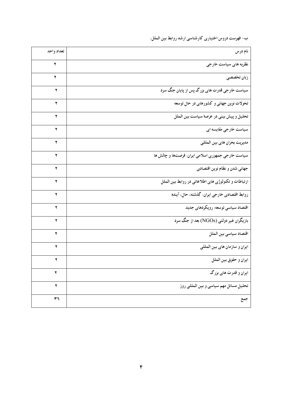ب- فهرست دروس اختیاری کارشناسی ارشد روابط بین الملل:

| نام درس                                             | تعداد واحد |
|-----------------------------------------------------|------------|
| نظریه های سیاست خارجی                               | ۲          |
| زبان تخصصى                                          | ۲          |
| سیاست خارجی قدرت های بزرگ پس از پایان جنگ سرد       | ۲          |
| تحولات نوین جهانی و کشورهای در حال توسعه            | ۲          |
| تحلیل و پیش بینی در عرصهٔ سیاست بین الملل           | ۲          |
| سیاست خارجی مقایسه ای                               | ۲          |
| مديريت بحران هاي بين المللي                         | ۲          |
| سیاست خارجی جمهوری اسلامی ایران: فرصتها و چالش ها   | ۲          |
| جهاني شدن و نظام نوين اقتصادي                       | ۲          |
| ارتباطات و تکنولوژی های اطلاعاتی در روابط بین الملل | ۲          |
| روابط اقتصادی خارجی ایران: گذشته، حال، آینده        | ۲          |
| اقتصاد سیاسی توسعه: رویکردهای جدید                  | ۲          |
| بازیگران غیر دولتی (NGOs) بعد از جنگ سرد            | ۲          |
| اقتصاد سياسي بين الملل                              | ۲          |
| ايران و سازمان هاي بين المللي                       | ۲          |
| ايران و حقوق بين الملل                              | ۳          |
| ایران و قدرت های بزرگ                               | ۲          |
| تحلیل مسائل مهم سیاسی و بین المللی روز              | ۲          |
| جمع                                                 | ۳٦         |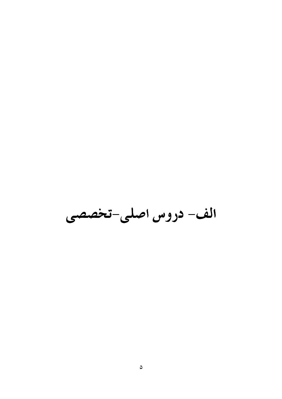الف- دروس اصلی-تخصصی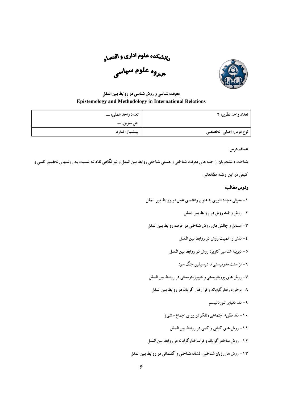<sub>د</sub>رنشکده علوم اداری و اقتص<sub>اد</sub> <sub>مدو</sub>ه علوم سيا<sub>سي</sub>



# معرفت شناسی و روش شناسی در روابط بین الملل **Epistemology and Methodology in International Relations**

| تعداد واحد نظري: ٢  | تعداد واحد عملي: ـــ |
|---------------------|----------------------|
|                     |                      |
| نوع درس: اصلی-تخصصی | پیشنیاز: ندارد       |

## هدف درس:

شناخت دانشجویان از جنبه های معرفت شناختی و هستی شناختی روابط بین الملل و نیز نگاهی نقادانه نسبت به روشهای تحقیـق كمـی و

كيفي در اين رشته مطالعاتي.

- ١- معرفي مجدد تئوري به عنوان راهنماي عمل در روابط بين الملل
	- ۲- روش و ضد روش در روابط بین الملل
- ۳ مسائل و چالش های روش شناختی در عرصه روابط بین الملل
	- ٤ نقش و اهميت روش در روابط بين الملل
	- ٥- ديرينه شناسي كاربرد روش در روابط بين الملل
		- ۲- از سنت مدرنیستی تا دیسپلین جنگ سرد
- ۷- روش های پوزیتویستی و نئویوزیتویستی در روابط بین الملل
- ۸- برخورد رفتارگرایانه و فرا رفتار گرایانه در روابط بین الملل
	- ۹- نقد دنياي نئورئاليسم
	- ۱۰ نقد نظریه اجتماعی (تفکر در ورای اجماع سنتی)
		- ١١- روش های کیفی و کمی در روابط بین الملل
- ۱۲- روش ساختار گرایانه و فراساختار گرایانه در روابط بین الملل
- ۱۳- روش های زبان شناختی، نشانه شناختی و گفتمانی در روابط بین الملل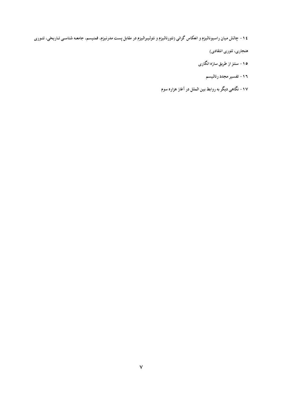۱۶ – چالش میان راسیونالیزم و انعکاس گرائی (نئورئالیزم و نئولیبرالیزم در مقابل پست مدرنیزم، فمنیسم، جامعه شناسبی تـاریخی، تئـوری

هنجاری، تئوری انتقادی)

- ۱۰- سنتز از طریق سازه انگاری
	- ۱۶ تفسير مجدد رئاليسم
- ۱۷ نگاهی دیگر به روابط بین الملل در آغاز هزاره سوم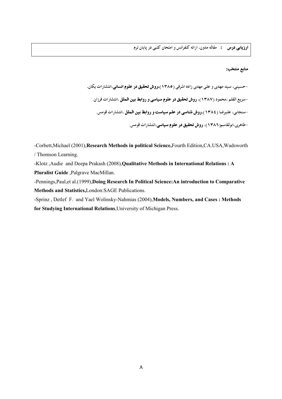#### منابع منتخب:

-حسینی، سید مهدی و علی مهدی زاده اشرفی (۱۳۸۵)،روش تحقیق در علوم انسانی،انتشارات یکان. -سریع القلم ،محمود (۱۳۸۷)، **روش تحقیق در علوم سیاسی و روابط بین الملل** ،انتشارات فرزان. -سنجابی، علیرضا (١٣٨٤)،**روش شناسی در علم سیاست و روابط بین الملل** ،انتشارات قومس. -طاهري،ابولقاسم(١٣٨٦)، **روش تحقيق در علوم سياسي**،انتشارات قومس.

-Corbett, Michael (2001), Research Methods in political Science, Fourth Edition, CA.USA, Wadsworth / Thomson Learning.

-Klotz , Audie and Deepa Prakash (2008), Qualitative Methods in International Relations: A Pluralist Guide, Palgrave MacMillan.

-Pennings, Paul, et al.(1999), Doing Research In Political Science: An introduction to Comparative Methods and Statistics, London: SAGE Publications.

-Sprinz, Detlef F. and Yael Wolinsky-Nahmias (2004), Models, Numbers, and Cases: Methods for Studying International Relations, University of Michigan Press.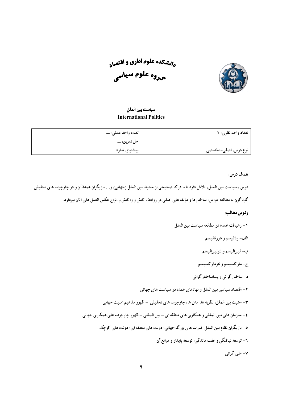

<sub>د</sub>رنشکده علوم اداری و اقتص<sub>اد</sub> <sub>هروه</sub> علوم سيا<sub>سي</sub>

## <u>سياست بين الملل</u> **International Politics**

| تعداد واحد نظري: ٢  | تعداد واحد عملي: ـــ |
|---------------------|----------------------|
|                     |                      |
| نوع درس: اصلی-تخصصی | پیشنیاز: ندارد       |

## هدف درس:

درس «سیاست بین الملل» تلاش دارد تا با درک صحیحی از محیط بین الملل (جهانی) و… بازیگران عمدهٔ آن و در چارچوب های تحلیلی گوناگون به مطالعه عوامل، ساختارها و مؤلفه های اصلی در روابط، کنش و واکنش و انواع عکس العمل های آنان بیردازد.

- ١- رهيافت عمده در مطالعه سياست بين الملل
	- الف- رئاليسم و نئورئاليسم
	- ب- ليبراليسم و نئوليبراليسم
	- ج– مارکسیسم و نئومارکسیسم
	- د- ساختار گرائی و پساساختار گرائی
- ۲ اقتصاد سیاسی بین الملل و نهادهای عمده در سیاست های جهانی
- ۳ امنیت بین الملل: نظریه ها، مدل ها، چارچوب های تحلیلی ظهور مفاهیم امنیت جهانی
- ٤ سازمان هاي ٻين المللي و همکاري هاي منطقه اي ٻين المللي ظهور چارچوب هاي همکاري جهاني
	- ۰- بازیگران نظام بین الملل: قدرت های بزرگ جهانی؛ دولت های منطقه ای؛ دولت های کوچک
		- ٦- توسعه نسافتگي و عقب ماندگي: توسعه پابدار و موانع آن
			- ۷- ملبي گرائبي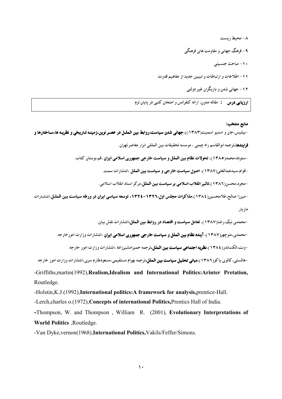۸- محیط زیست ۹- فرهنگ جهانی و مقاومت های فرهنگی ١٠- مباحث جنسيتي ١١- اطلاعات و ارتباطات و تبيين جديد از مفاهيم قدرت ۱۲- حهانی شدن و بازیگران غیر دولتی

**ارزیابی درس :** مقاله مدون، ارائه کنفرانس و امتحان کتبی در پایان ترم

## منابع منتخب:

-بیلیس،جان و استیو اسمیت(۱۳۸۳))،**جهانی شدن سیاست،روابط بین الملـل در عصـر نوین،زمینـه تـاریخی و نظریـه ها،سـاختارها و فرایندها**،ترجمه ابوالقاسم راه چمنی ، موسسه تحقیقات بین المللی ابرار معاصر تهران. -ستوده،محمد(١٣٨٥)، تحولات نظام بين الملل و سياست خارجي جمهوري اسلامي ايران ،قم:بوستان كتاب. -قوام،سیدعبدالعلی(۱۳۸۷)، اصول سیاست خارجی و سیاست بین الملل ،انتشارات سمت. -مجرد،محسن(١٣٨٦)،تاثير انقلاب اسلامي بر سياست بين الملل،مركز اسناد انقلاب اسلامي. -میرزا صالح،غلامحسین(١٣٨٤)،مذاکرات مجلس اول:١٣٢٦-١٣٢٤، توسعه سیاسی ایران در ورطه سیاست بین الملل،انتشارات مازيار . -محمدی نیک،رضا(۱۳۸۷)، تعامل سیاست و اقتصاد در روابط بین الملل،انتشارات نقش سان -محمدی،منوچهر(۱۳۸۷)، آ**ینده نظام بین الملل و سیاست خارجی جمهوری اسلامی ایران** ،انتشارات وزارت امورخارجه.

-ونت،الكساندر(١٣٨٤)،نظريه اجتماعي سياست بين الملل،ترجمه حميرامشيرزاده ،انتشارات وزارت امور خارجه.

-هالستی، کالوی پاکو(۱۳۸۲)،میانی **تحلیل سیاست بین الملل،**ترجمه بهرام مستقیمی،مسعودطارم سری،انتشارات وزارت امور خارجه. -Griffiths.martin(1992).Realism.Idealism and International Politics:Arinter Pretation. Routledge.

-Holstin, K.J. (1992), International politics: A framework for analysis, prentice-Hall.

-Lerch, charles o.(1972), Concepts of international Politics, Prentics Hall of India.

-Thompson, W. and Thompson, William R. (2001), Evolutionary Interpretations of World Politics , Routledge.

-Van Dyke, vernon(1968), International Politics, Vakils/Feffer/Simons.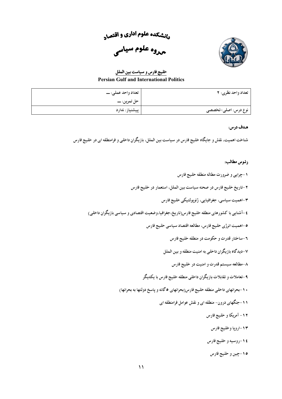<sub>د</sub>رنشکده علوم اداری و اقتص<sub>اد</sub>





خليج فارس و سياست بين الملل **Persian Gulf and International Politics** 

| تعداد واحد نظري: ٢  | تعداد واحد عملي: ـــ |
|---------------------|----------------------|
|                     |                      |
| نوع درس: اصلی-تخصصی | پیشنیاز: ندارد       |

شناخت اهمیت، نقش و جایگاه خلیج فارس در سیاست بین الملل، بازیگران داخلی و فرامنطقه ای در خلیج فارس

- ۱-چراپی و ضرورت مطاله منطقه خلیج فارس ۲-تاریخ خلیج فارس در صحنه سیاست بین الملل، استعمار در خلیج فارس ٣-اهميت سياسي، جغرافيايي، ژئوپولتيكي خليج فارس ٤-آشنايي با كشورهاي منطقه خليج فارس(تاريخ،جغرافيا،وضعيت اقتصادي و سياسي بازيگران داخلي) ۰-اهمیت انرژی خلیج فارس، مطالعه اقتصاد سیاسی خلیج فارس ۲-ساختار قدرت و حکومت در منطقه خلیج فارس ۷-دیدگاه بازیگران داخلی به امنیت منطقه و بین الملل ٨-مطالعه سيستم قدرت و امنيت در خليج فارس ۹-تعاملات و تقابلات بازیگران داخلبی منطقه خلیج فارس با یکدیگر .<br>۱۰-بحرانهای داخلی منطقه خلیج فارس(بحرانهای ۵ گانه و یاسخ دولتها به بحرانها) ۱۱-جنگهای درون- منطقه ای و نقش عوامل فرامنطقه ای ۱۲- آمریکا و خلیج فارس ١٣-ارويا وخليج فارس ١٤-روسيه و خليج فارس
	- ۱۰-چین و خلیج فارس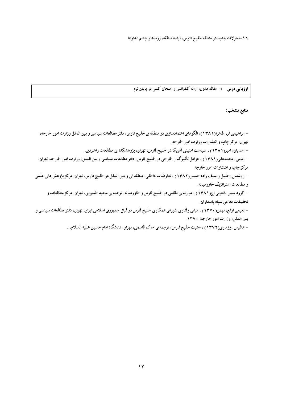١٦-تحولات جديد در منطقه خليج فارس، آينده منطقه، روندهاو چشم اندازها

**ارزیابی درس :** مقاله مدون، ارائه کنفرانس و امتحان کتبی در پایان ترم

منابع منتخب:

– ابراهیمی فر، طاهره(۱۳۸۱)، الگوهای اعتمادسازی در منطقه ی خلیج فارس، دفتر مطالعات سیاسی و بین الملل وزارت امور خارجه، تهران، مرکز چاپ و انتشارات وزارت امور خارجه. - اسدیان، امیر( ۱۳۸۱) ، سیاست امنیتی آمریکا در خلیج فارس، تهران، پژوهشکده ی مطالعات راهبردی. - امامی ،محمدعلی(۱۳۸۱) ، عوامل تأثیرگذار خارجی در خلیج فارس، دفتر مطالعات سیاسی و بین الملل، وزارت امور خارجه، تهران، مرکز چاپ و انتشارات امور خارجه. - روشندل ،جلیل و سیف زاده حسین(۱۳۸۲) ، تعارضات داخلی، منطقه ای و بین الملل در خلیج فارس، تهران، مرکز پژوهش های علمی و مطالعات استراتژیک خاورمیانه. - کورد سمن ،آنتونی اچ(۱۳۸۱) ، موازنه ی نظامی در خلیج فارس و خاورمیانه، ترجمه ی مجید خسروی، تهران، مرکز مطالعات و تحقیقات دفاعی سیاه یاسداران. – نعیمی ارفع، بهمن( ۱۳۷۰) ، مبانی رفتاری شورای همکاری خلیج فارس در قبال جمهوری اسلامی ایران، تهران، دفتر مطالعات سياسي و

بين الملل، وزارت امور خارجه، ١٣٧٠.

– هالیس ،رزماری(١٣٧٢) ، امنیت خلیج فارس، ترجمه ی حاکم قاسمی، تهران، دانشگاه امام حسین علیه السلام، .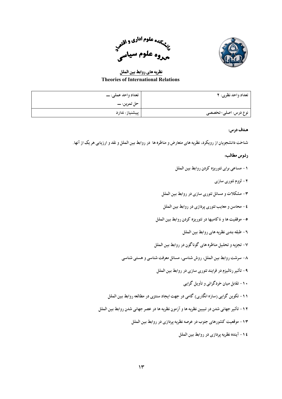



نظريه هاي روابط بين الملل **Theories of International Relations** 

| تعداد واحد نظري: ٢  | تعداد واحد عملي: ـــ |
|---------------------|----------------------|
|                     |                      |
| نوع درس: اصلی-تخصصی | پیشنیاز: ندارد       |

شناخت دانشجویان از رویکرد، نظریه های متعارض و مناظره ها ً در روابط بین الملل و نقد و ارزیابی هر یک از آنها.

- ١- مساعي براي تئوريزه كردن روابط بين الملل
	- ۲- لزوم تئوري سازي
- ۳- مشکلات و مسائل تئوري سازي در روابط بين الملل
- ٤- محاسن و معايب تئوري يردازي در روابط بين الملل
- ٥- موفقيت ها و ناكاميها در تئوريزه كردن روابط بين الملل
	- ۲- طبقه بندی نظریه های روابط بین الملل
- ۷- تجزیه و تحلیل مناظره های گوناگون در روابط بین الملل
- ٨- سرشت روابط بين الملل، روش شناسي، مسائل معرفت شناسي و هستي شناسي
	- ۹- تأثير رئاليزم در فرايند تئوري سازي در روابط بين الملل
		- ۱۰– تقابل میان خودگرائی و تأویل گرایی
- ۱۱- تکوین گرایی (سازه انگاری) گامی در جهت ایجاد سنتزی در مطالعه روابط بین الملل
- ۱۲ تأثیر جهانی شدن در تبیین نظریه ها و آزمون نظریه ها در عصر جهانی شدن روابط بین الملل
	- ١٣- موقعیت كشورهاي جنوب در عرصه نظريه يردازي در روابط بين الملل
		- ١٤- آينده نظريه پردازي در روابط بين الملل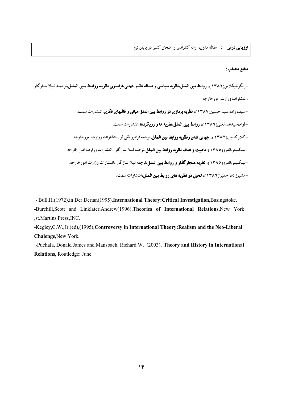**ارزیابی درس :** مقاله مدون، ارائه کنفرانس و امتحان کتبی در پایان ترم

#### منابع منتخب:

-رنگر،نیکلاس(۱۳۸۲)، **روابط بین الملل،نظریه سیاسی و مساله نظـم جهانی،فراسوی نظریـه روابـط بـین الملـل،**ترجمـه لـیلا سـازگار ،انتشارات وزارت امور خارجه. -سیف زاده،سید حسین(۱۳۸۷)، **نظریه پردازی در روابط بین الملل:مبانی و قالبهای فکری**،انتشارات سمت. -قوام،سیدعبدالعلی(١٣٨٦)، **روابط بین الملل:نظریه ها و رویکردها**،انتشارات سمت. -کلارک،پان(۱۳۸۲)، **جهانی شدن ونظریه روابط بین الملل،**ترجمه فرامرز تقی لو ،انتشارات وزارت امورخارجه. -لینکلیتر،اندرو(١٣٨٥)،ماهیت و هدف نظریه روابط بین الملل،ترجمه لیلا سازگار ،انتشارات وزارت امور خارجه.

> -لینکلیتر،اندرو(۱۳۸۰)، **نظریه هنجارگذار و روابط بین الملل،**ترجمه لیلا سازگار ،انتشارات وزارت امورخارجه. -مشیرزاده، حمیرا(۱۳۸۲)، تحول **در نظریه های روابط بین الملل**،انتشارات سمت.

- Bull, H. (1972), in Der Derian(1995), International Theory: Critical Investigation, Basingstoke.

-Burchill, Scott and Linklater, Andrew(1996), Theories of International Relations, New York , st. Martins Press, INC.

-Kegley, C.W., Jr. (ed), (1995), Controversy in International Theory: Realism and the Neo-Liberal Chalenge, New York.

-Puchala, Donald James and Mansbach, Richard W. (2003), Theory and History in International Relations, Routledge: June.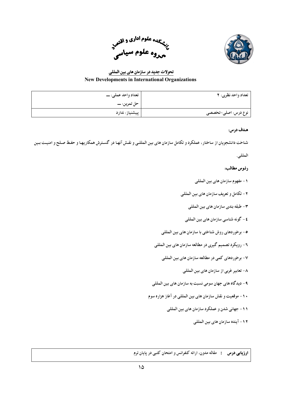



# تحولات جدید در سازمان های بین المللی **New Developments in International Organizations**

| تعداد واحد نظري: ٢  | تعداد واحد عملي: ـــ |
|---------------------|----------------------|
|                     |                      |
| نوع درس: اصلی-تخصصی | پیشنیاز: ندارد       |

# هدف درس:

شناخت دانشجویان از ساختار، عملکرد و تکامل سازمان های بین المللبی و نقش آنها در گسترش همکاریها و حفظ صلح و امنیت بین

# المللي.

# رئوس مطالب:

- ١ مفهوم سازمان هاي بين المللي
- ٢- تكامل و تعريف سازمان هاي بين المللي
	- ٣- طبقه بندي سازمان هاي بين المللي
	- ٤- گونه شناسي سازمان هاي بين المللي
- ٥- برخور دهای روش شناختی با سازمان های بین المللی
- ٦- رويكرد تصميم گيري در مطالعه سازمان هاي بين المللي
	- ٧- برخوردهای کمی در مطالعه سازمان های بین المللی
		- ۸- تعابیر غربی از سازمان های بین المللی
- ۹ دیدگاه های جهان سومی نسبت به سازمان های بین المللی
- ۱۰- موقعیت و نقش سازمان های بین المللی در آغاز هزاره سوم
	- ۱۱- جهانی شدن و عملکرد سازمان های بین المللی
		- ١٢- آينده سازمان هاي بين المللي

**ارزیابی درس :** مقاله مدون، ارائه کنفرانس و امتحان کتبی در یابیان ترم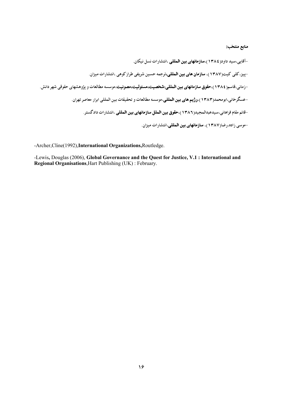منابع منتخب:

-آقایی،سید داود( ۱۳۸٤)،**سازمانهای بین المللی** ،انتشارات نسل نیکان. -پیز، کلی کیت(۱۳۸۷)، **سازمان های بین المللی،**ترجمه حسین شریفی طراز کوهی ،انتشارات میزان. -زمانی،قاسم( ۱۳۸٤)،ح**قوق سازمانهای بین المللی:شخصیت،مسئولیت،مصونیت**،موسسه مطالعات و پژوهشهای حقوقی شهر دانش. -عسگرخانی،ابومحمد(۱۳۸۳)،و**ژیم های بین المللی**،موسسه مطالعات و تحقیقات بین المللی ابرار معاصر تهران. –قائم مقام فراهانی،سیدعبدالمجید( ۱۳۸۲)،**حقوق بین الملل سازمانهای بین المللی** ،انتشارات دادگستر. -موسی زاده،رضا(۱۳۸۷)، **سازمانهای بین المللی**،انتشارات میزان.

-Archer, Cline(1992), International Organizations, Routledge.

-Lewis, Douglas (2006), Global Governance and the Quest for Justice, V.1 : International and **Regional Organisations, Hart Publishing (UK): February.**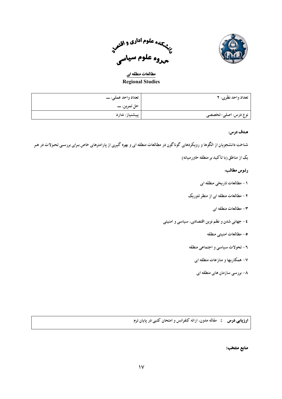



مطالعات منطقه ای **Regional Studies** 

| تعداد واحد نظري: ٢               | تعداد واحد عملي: ـــ |
|----------------------------------|----------------------|
|                                  |                      |
| <sup>۔</sup> نوع درس: اصلی-تخصصی | پیشنیاز: ندارد       |

شناخت دانشجویان از الگوها و رویکردهای گوناگون در مطالعات منطقه ای و بهره گیری از پارامترهای خاص برای بررسی تحولات در هر

یک از مناطق (با تأکید بر منطقه خاورمیانه)

## رئوس مطالب:

- ۱ مطالعات تاریخی منطقه ای
- ۲- مطالعات منطقه ای از منظر تئوریک
	- $\epsilon$  مطالعات منطقه ای
- ٤ جهاني شدن و نظم نوين اقتصادي، سياسي و امنيتي
	- ٥- مطالعات امنيتبي منطقه
	- ٦- تحولات سياسي و اجتماعي منطقه
		- ۷- همکاریها و منازعات منطقه ای
		- ۸- بررسی سازمان های منطقه ای

**ارزیابی درس :** مقاله مدون، ارائه کنفرانس و امتحان کتبی در پایان ترم

منابع منتخب: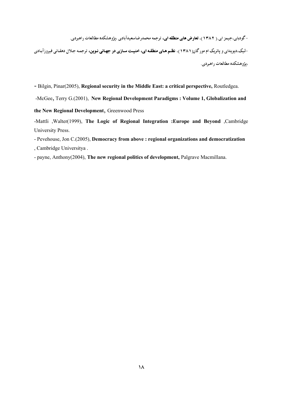-گودبای،جیمز ای.( ۱۳۸۲)، تعارض های منطقه ای، ترجمه محمدرضاسعیدآبادی ،پژوهشکده مطالعات راهبردی.

-لیک،دیویدای و پاتریک ام مورگان( ۱۳۸۱)، ن**ظم های منطقه ای، امنیت سازی در جهانی نوین،** ترجمه جلال دهقانی فیروزآبادی ،بژوهشكده مطالعات راهبردي.

- Bilgin, Pinar(2005), Regional security in the Middle East: a critical perspective, Routledgea.

-McGee, Terry G.(2001), New Regional Development Paradigms : Volume 1, Globalization and

the New Regional Development, Greenwood Press

-Mattli , Walter(1999), The Logic of Regional Integration : Europe and Beyond , Cambridge University Press.

- Pevehouse, Jon C.(2005), Democracy from above : regional organizations and democratization , Cambridge Universitya.

- payne, Anthony(2004), The new regional politics of development, Palgrave Macmillana.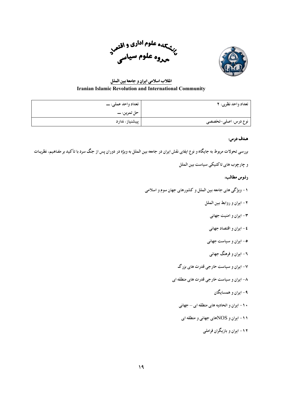



# انقلاب اسلامی ایران و جامعهٔ بین الملل **Iranian Islamic Revolution and International Community**

| تعداد واحد نظري: ٢  | تعداد واحد عملي: ـــ |
|---------------------|----------------------|
|                     |                      |
| نوع درس: اصلی-تخصصی | پیشنیاز: ندارد       |

## هدف درس:

بررسی تحولات مربوط به جایگاه و نوع ایفای نقش ایران در جامعه بین الملل به ویژه در دوران پس از جنگ سرد با تأکید بر مفاهیم، نظریـات

و چارچوب های تاکتیکی سیاست بین الملل

## رئوس مطالب:

۱- ویژگی های جامعه بین الملل و کشورهای جهان سوم و اسلامی

- ٢- ايران و روابط بين الملل
	- ۴- ایران و امنیت جهانی
	- ٤ ايران و اقتصاد جهاني
- ۰- ایران و سیاست جهانی
- ۲- ایران و فرهنگ جهانبی
- ۷- ایران و سیاست خارجی قدرت های بزرگ
- ۸- ایران و سیاست خارجی قدرت های منطقه ای
	- ۹- ابران و همسابگان
	- ۱۰- ایران و اتحادیه های منطقه ای جهانی
	- ۱۱- ایران و NOSهای جهانی و منطقه ای
		- ۱۲- ایران و بازیگران فراملبی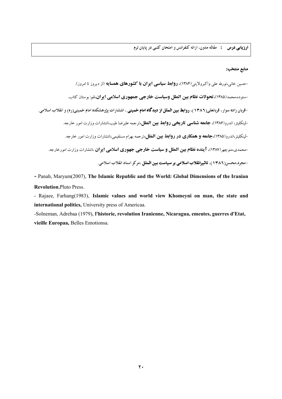#### منابع منتخب:

-حسین خانی،نورلله علی واکبرولایتی(۱۳۸۴)، **روابط سیاسی ایران با کشورهای همسایه** (از دیروز تا امروز). -ستوده،محمد(۱۳۸۵)،**تحولات نظام بین الملل وسیاست خارجی جمهوری اسلامی ایران،ق**ر: بوستان کتاب. -قربان زاده سوار، قربانعلی(١٣٨٦)، **روابط بین الملل از دیدگاه امام خمینی** ، انتشارات پژوهشکده امام خمینی(ره) و انقلاب اسلامی. -لينكليتز، اندرو(١٣٨٤)، **جامعه شناسي تاريخي روابط بين الملل،**ترجمه عليرضا طيب،انتشارات وزارت امور خارجه. لینکلیتز،اندرو(۱۳۸۵)،**جامعه و همکاری در روابط بین الملل**،ترجمه بهرام مستقیمی،انتشارات وزارت امور خارجه. -محمدي،منوچهر (١٣٨٧)، **آينده نظام بين الملل و سياست خارجي جهوري اسلامي ايوان** ،انتشارات وزارت امورخارجه. -مجرد،محسن(١٣٨٦)، تاثيرانقلاب اسلامي بر سياست بين الملل ،مركز اسناد انقلاب اسلامي.

- Panah, Maryam(2007), The Islamic Republic and the World: Global Dimensions of the Iranian **Revolution, Pluto Press.** 

- Rajaee, Farhang(1983), Islamic values and world view Khomeyni on man, the state and international politics, University press of Americaa.

-Solneman, Adrebaa (1979), l'historie, revolution Iranienne, Nicaragua, emeutes, guerres d'Etat, vieille Europaa, Belles Emotionsa.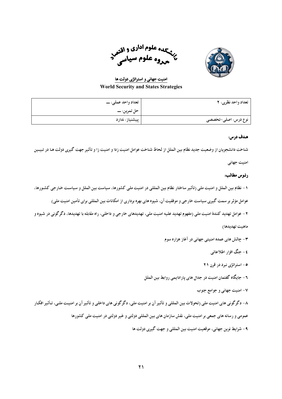

منهجده علوم <sup>ادا</sup>ری و اقتصر<br>ت<sup>ر</sup>تم<sub>مد</sub>وه علوم سیاسی<sup>مز</sup>

امنیت جهانی و استراتژی دولت ها **World Security and States Strategies** 

| تعداد واحد نظري: ٢  | تعداد واحد عملي: ـــ |
|---------------------|----------------------|
|                     |                      |
| نوع درس: اصلی-تخصصی | پیشنیاز: ندارد       |

شناخت دانشجويان از وضعيت جديد نظام بين الملل از لحاظ شناخت عوامل امنيت زدا و امنيت زا و تأثير جهت گيري دولت هـا در تبيـين

امنیت جهانی

## رئىوس مطالب:

- ١ نظام بين الملل و امنيت ملي (تأثير ساختار نظام بين المللي در امنيت ملي كشورها، سياست بين الملل و سياست خارجي كشـورها،
	- عوامل مؤثر بر سمت گیری سیاست خارجی و موفقیت آن، شیوه های بهره برداری از امکانات بین المللی برای تأمین امنیت ملی)
- ۲ عوامل تهدید کنندهٔ امنیت ملی (مفهوم تهدید علیه امنیت ملی، تهدیدهای خارجی و داخلی، راه مقابله با تهدیدها، دگرگونی در شیوه و

## ماهيت تهديدها)

- ۳- چالش های عمده امنیتی جهانی در آغاز هزاره سوم
	- ٤ حنگ افزار اطلاعاتی
	- ۰- استراتژی نبرد در قرن ۲۱
- ٦ جايگاه گفتمان امنيت در جدال هاي پارادايمي روابط بين الملل

٧- امنیت جهانی و جوامع جنوب

۸- دگرگونی های امنیت ملی (تحولات بین المللی و تأثیر آن بر امنیت ملی، دگرگونی های داخلی و تأثیر آن بر امنیت ملبی، تأثیر افکار

عمومی و رسانه های جمعی بر امنیت ملی، نقش سازمان های بین المللی دولتی و غیر دولتی در امنیت ملی کشورها

٩- شرايط نوين جهاني، موقعيت امنيت بين المللي و جهت گيري دولت ها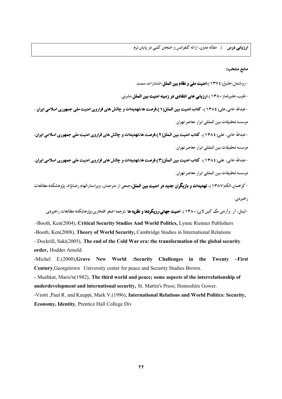**ارزیابی درس :** مقاله مدون، ارائه کنفرانس و امتحان کتبی در یایان ترم

#### منابع منتخب:

-روشندل،جلیل( ١٣٧٤)،امنیت ملی و نظام بین الملل،انتشارات سمت.

-طیب،علیرضا( ۱۳۸۰)،ا**رزیابی های انتقادی در زمینه امنیت بین الملل**،نشرنی.

-عبدالله خانی،علی( ۱۳۸٤)، کتاب امنیت بین الملل(۱):فرصت ها،تهدیدات و چالش های فراروی امنیت ملی جمهوری اسلامی ایران ، موسسه تحقيقات بين المللي ابرار معاصر تهران.

-عبدالله خانی، علی( ١٣٨٤)، كتاب امنیت بین الملل(٢):فرصت ها،تهدیدات و چالش های فراروی امنیت ملی جمهوری اسلامی ایران، موسسه تحقيقات بين المللي ابرار معاصر تهران.

-عبدالله خانی، علی( ١٣٨٤)، كتاب امنیت بین الملل(٣):فرصت ها،تهدیدات و چالش های فراروی امنیت ملی جمهوری اسلامی ایران، موسسه تحقيقات بين المللي ابرار معاصر تهران.

-کراهمان،الکه(۱۳۸۷)، **تهدیدات و بازیگران جدید در امنیت بین الملل،**جمعی از مترجمان، ویراستارالهام رضانژاد، یژوهشکده مطالعات راهبردي.

-لیتل، آر .وآردی مک کین لای(۱۳۸۰)، **امنیت جهانی:رویکردها و نظریه ها** ،ترجمه اصغر افتخاری،پژوهشکده مطالعات راهیردی.

-Booth, Ken(2004), Critical Security Studies And World Politics, Lynne Rienner Publishers -Booth, Ken(2008), Theory of World Security, Cambridge Studies in International Relations - Dockrill, Saki(2005), The end of the Cold War era: the transformation of the global security order, Hodder Arnold.

-Michel E.(2000), Grave New World : Security Challenges in the Twenty -First Century, Georgetown University center for peace and Security Studies Brown.

- Mushkat, Mario'n(1982), The third world and peace; some aspects of the interrelationship of underdevelopment and international security, St. Martin's Press; Homoshire Gower.

-Viotti , Paul R. and Kauppi, Mark V. (1996), International Relations and World Politics: Security, **Economy, Identity, Prentice Hall College Div**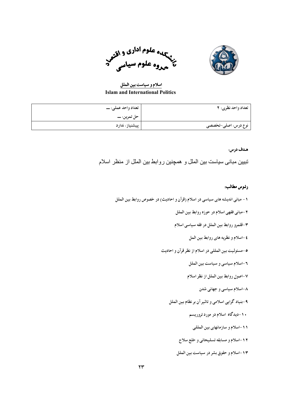

سپهاره علوم اداری و <sub>اقتص</sub><br>پختهاروه علوم سیاسی

اسلام و سیاست بین الملل **Islam and International Politics** 

| تعداد واحد نظري: ٢  | تعداد واحد عملي: ـــ |
|---------------------|----------------------|
|                     |                      |
| نوع درس: اصلی-تخصصی | پیشنیاز: ندارد       |

تبیین مبانی سیاست بین الملل و همچنین روابط بین الملل از منظر اسلام

- ١ مبانی اندیشه های سیاسی در اسلام (قرآن و احادیث) در خصوص روابط بین الملل
	- ٢-مباني فقهي اسلام در حوزه روابط بين الملل
	- ٣-قلمرو روابط بين الملل در فقه سياسي اسلام
		- ٤-اسلام و نظريه هاي روابط بين المل
	- ۰-مسئولیت بین المللی در اسلام از نظر قرآن و احادیث
		- ٢-اسلام سياسي و سياست بين الملل
		- ٧-اصول روابط بين الملل از نظر اسلام
			- ۸-اسلام سیاسی و جهانی شدن
		- ۹-بنیاد گرایی اسلامی و تاثیر آن بر نظام بین الملل
			- ۱۰-دیدگاه اسلام در مورد تروریسم
				- ١١-اسلام و سازمانهاي بين المللي
			- ۱۲-اسلام و مسابقه تسلیحاتی و خلع سلاح
			- ١٣-اسلام و حقوق بشر در سياست بين الملل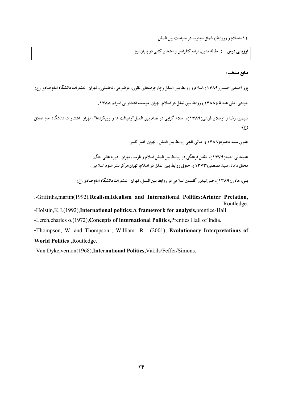٤ ١-اسلام و (روابط) شمال-جنوب در سياست بين الملل

<mark>ارزیابی درس : مقاله مد</mark>ون، ارائه کنفرانس و امتحان کتبی در پایان ترم

## منابع منتخب:

پور احمدی حسین(۱۳۸۹)،اسلام و روابط بین الملل (چارچوبهای نظری، موضوعی، تحلیلی)، تهران: انتشارات دانشگاه امام صادق (ع) جوادی آملی عبدالله،(۱۳۸۸) روابط بینالملل در اسلام، تهران: موسسه انتشاراتی اسراء، ۱۳۸۸.

سیمبر، رضا و ارسلان قربانی(۱۳۸۹)، اسلام گرابی در نظام بین الملل"رهبافت ها و رویکردها"، تهران: انتشارات دانشگاه امام صادق  $\cdot$ (2)

علوی سید محمود(۱۳۸۶)، مبانی فقهی روابط بین الملل ، تهران: امیر کبیر.

علیخانی احمد(۱۳۷۹)، تقابل فرهنگی در روابط بین الملل اسلام و غرب ، تهران : دوره عالمی جنگ. محقق داماد، سيد مصطفى(١٣٧٣)، حقوق روابط بين الملل در اسلام، تهران:مركز نشر علوم اسلامي .

بلبر، هادی(۱۳۸۹)، صورتیندی گفتمان اسلامی در روابط بس الملل، تهران: انتشارات دانشگاه امام صادق (ع).

.-Griffiths, martin(1992), Realism, Idealism and International Politics: Arinter Pretation, Routledge.

-Holstin, K.J.(1992), International politics: A framework for analysis, prentice-Hall.

-Lerch, charles o.(1972), Concepts of international Politics, Prentics Hall of India.

-Thompson, W. and Thompson, William R. (2001), Evolutionary Interpretations of World Politics , Routledge.

-Van Dyke, vernon(1968), International Politics, Vakils/Feffer/Simons.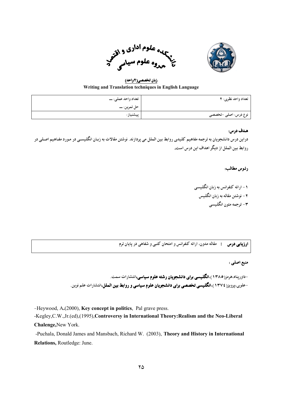



زبان تخصصي(٢واحد) Writing and Translation techniques in English Language

| تعداد واحد نظري: ٢   | تعداد واحد عملي: ـــ |
|----------------------|----------------------|
|                      |                      |
| نوع درس: اصلی -تخصصی | پیشنیاز:             |

دراین درس دانشج*و*یان به ترجمه مفاهیم کلیدی روابط بین الملل می یردازند. نوشتن مقالات به زبان انگلیسمی در مورد مفاهیم اصلبی در روابط بس الملل از دیگر اهداف این درس است.

## رئوس مطالب:

۱ – ارائه کنفرانس به زبان انگلیسبی ۲ – نوشتن مقاله به زبان انگلیس ۳– ترجمه متون انگلیسبی

**ارزیابی درس :** مقاله مدون، ارائه کنفرانس و امتحان کتبی و شفاهی در یایان ترم

## منبع اصلي :

-داورپناه،هرمز(١٣٨٥)،انگلیسی برای دانشجویان رشته علوم سیاسی،انتشارات سمت. -علوی،پرویز( ۱۳۷٤)،ا**نگلیسی تخصصی برای دانشجویان علوم سیاسی و روابط بین الملل،**انتشارات علم نوین.

-Heywood, A.(2000), Key concept in politics, Pal grave press.

-Kegley, C.W., Jr. (ed), (1995), Controversy in International Theory: Realism and the Neo-Liberal Chalenge, New York.

-Puchala, Donald James and Mansbach, Richard W. (2003), Theory and History in International Relations, Routledge: June.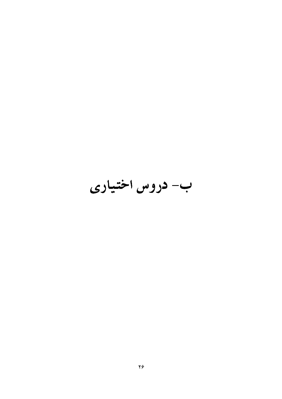# ب- دروس اختیاری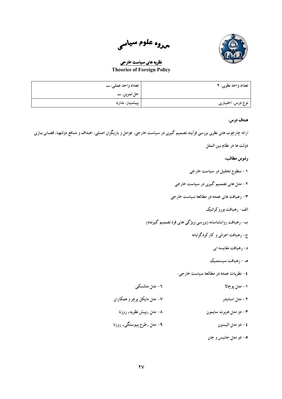

<sub>مروه</sub> علوم سیاس<sub>ی</sub>

# نظریه های سیاست خارجی **Theories of Foreign Policy**

| تعداد واحد نظري: ٢ | تعداد واحد عملي: ـــ |
|--------------------|----------------------|
|                    |                      |
| نوع درس: اختیاری   | پیشنیاز: ندارد       |

## هـدف درس:

ارائه چارچوب های نظری بررسی فرآیند تصمیم گیری در سیاست خارجی، عوامل و بازیگران اصلبی، اهـداف و منـافع دولتهـا، فضـای بـازی

دولت ها در نظام بين الملل

# رئوس مطالب:

- ۱ سطوح تحلیل در سیاست خارجی
- ۲ مدل های تصمیم گیری در سیاست خارجی
- ۳- رهیافت های عمده در مطالعهٔ سیاست خارجی
	- الف- رهيافت بوروكراتيك
- ب- رهیافت روانشناسانه (بررسی ویژگی های فرد تصمیم گیرنده)
	- ج- رهيافت اجرائي و كاركردگرايانه
		- د- رهيافت مقايسه اي
		- هـ رهبافت سيستميك
	- ٤ نظريات عمده در مطالعهٔ سياست خارجي:
		- ۱ مدل پوچالا
- ۷- مدل مایکل پرچر و همکاران ۲ - مدل اسنابدر
	- ۸– مد<sub>ل «</sub>ییش نظریه<sub>» ر</sub>وزنا ۳- دو مدل هربرت سايمون
- ۹- مد<sub>ل «</sub>طرح پیوستگی» روزنا ٤- دو مدل اليسون
	- ٥- دو مدل جانيس و جان

٦ - مدل مدلسکی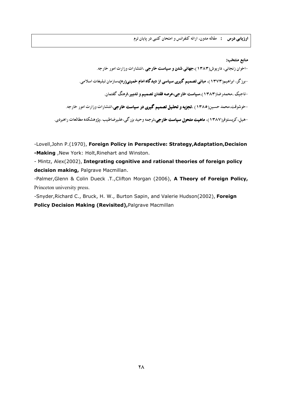**ارزیابی درس :** مقاله مدون، ارائه کنفرانس و امتحان کتبی در پایان ترم

منابع منتخب:

-اخوان زنجانی، داریوش(۱۳۸۳)،جهانی شدن و سیاست خارجی ،انتشارات وزارت امور خارجه. -برز گر، ابراهیم(۱۳۷۳)، **مبانی تصمیم گیری سیاسی از دیدگاه امام خمینی(ره)**،سازمان تبلیغات اسلامی. -تاجیک ،محمدرضا(۱۳۸۳)،**سیاست خارجی،عرصه فقدان تصمیم و تدبیر**،فرهنگ گفتمان. -خوشوقت،محمد حسین( ۱۳۸۵) ،تجزیه و تحلیل تصمیم گیری در سیاست خارجی،انتشارات وزارت امور خارجه. -هیل، کریستوفر(۱۳۸۷)، **ماهیت متحول سیاست خارجی،**ترجمه وحید بزرگی،علیرضاطیب ،پژوهشکده مطالعات راهبردی.

-Lovell, John P.(1970), Foreign Policy in Perspective: Strategy, Adaptation, Decision -Making, New York: Holt, Rinehart and Winston.

- Mintz, Alex(2002), Integrating cognitive and rational theories of foreign policy decision making, Palgrave Macmillan.

-Palmer, Glenn & Colin Dueck .T., Clifton Morgan (2006), A Theory of Foreign Policy, Princeton university press.

-Snyder, Richard C., Bruck, H. W., Burton Sapin, and Valerie Hudson(2002), Foreign Policy Decision Making (Revisited), Palgrave Macmillan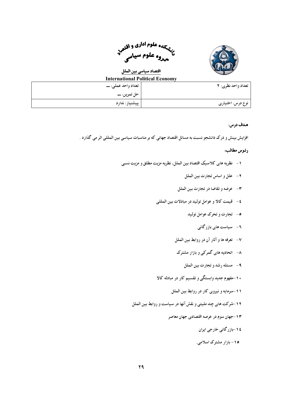

سمعهای علوم <sup>ادا</sup>دی و اقتص<sub>ر</sub><br>م<sup>ن</sup>هیر علوم سرار مهروه علوم سياسى

# ا<mark>قتصاد سیاسی بین الملل</mark>

| International Political Economy |                           |
|---------------------------------|---------------------------|
| تعداد واحد عملي: ـــ            | <b>تعداد واحد نظري: ٢</b> |
|                                 |                           |
| پیشنیاز: ندارد                  | نوع درس: اختیاری          |

## هدف درس:

افزایش بینش و درک دانشجو نسبت به مسائل اقتصاد جهانی که بر مناسبات سیاسی بین المللی اثر می گذارد .

- ۱ نظریه های کلاسیک اقتصاد بین الملل، نظریه مزیت مطلق و مزیت نسبی
	- ٢- علل و اساس تجارت بين الملل
	- ٣- عرضه وتقاضا در تجارت بين الملل
	- ٤- قيمت كالا و عوامل توليد در مبادلات بين المللي
		- ۰- تجارت و تحرک عوامل تولید
			- ۲ سیاست های بازر گانی
		- ٧- تعرفه ها و آثار آن در روابط بين الملل
		- ۸– اتحادیه های گمرکی و بازار مشترک
			- ٩- مسئله رشد و تجارت بين الملل
	- ۱۰-مفهوم جدید وابستگی و تقسیم کار در مبادله کالا
		- ۱۱-سرمایه و نیروی کار در روابط بین الملل
	- ١٢-شركت هاى چند مليتى و نقش آنها در سياست و روابط بين الملل
		- ۱۳-جهان سوم در عرصه اقتصادی جهان معاصر
			- ٤ ١-بازر گاني خارجي ايران
			- ۱۵- بازار مشترک اسلامی.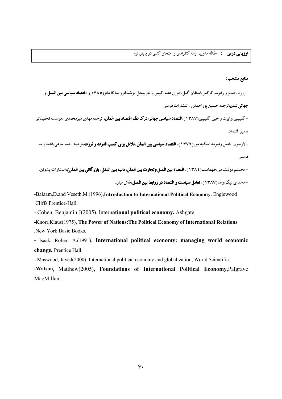## منابع منتخب:

-روزنا،جیمز و رابرت کاکس،استفان گیل،جورن هتنه،کیس واندرییجل،یوشیکازو ساکا ماتو(۱۳۸**۰)، اقتصاد سیاسی بین الملل و جهانی شدن،**ترجمه حسین یوراحمدی ،انتشارات قومس.

-گلیپین،رابرت و جین گلیپین(۱۳۸۷)،ا**قتصاد سیاسی جهانی:درک نظم اقتصاد بین الملل،** ترجمه مهدی میرمحمدی ،موسسه تحقیقاتی تدبير اقتصاد.

-لارسون، تامس ودیوید اسکید مور(١٣٧٦)، ا**قتصاد سیاسی بین الملل :تلاش برای کسب قدرت و ثروت**،ترجمه احمد ساعی،انتشارات قومس.

-محتشم دولتشاهي،طهماسب( ١٣٨٤)، ا**قتصاد بين الملل:(تجارت بين الملل،ماليه بين الملل، بازر گاني بين الملل**)،انتشارات يشوتن. -محمدی نیک،رضا(۱۳۸۷)، **تعامل سیاست و اقتصاد در روابط بین الملل**،نقش بیان.

-Balaam, D.and Veseth, M.(1996), Introduction to International Political Economy, Englewood Cliffs, Prentice-Hall.

- Cohen, Benjamin J(2005), International political economy, Ashgate.

-Knorr, Klaus(1975), The Power of Nations: The Political Economy of International Relations New York: Basic Books.

- Isaak, Robert A.(1991), International political economy: managing world economic change, Prentice Hall.

- Maswood, Javed(2000), International political economy and globalization, World Scientific.

-Watson, Matthew(2005), Foundations of International Political Economy, Palgrave MacMillan.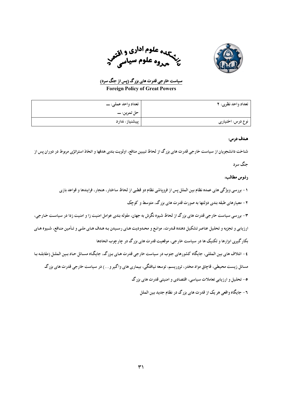

سیسه علوم اداری و <sub>اقت</sub>هبه علوم استانی<br>م<sup>ن</sup>هم وه علوم

<u>سیاست خارجی قدرت های بزرگ (پس از جنگ سر</u>د)

**Foreign Policy of Great Powers** 

| تعداد واحد نظري: ٢ | تعداد واحد عملي: ـــ |
|--------------------|----------------------|
|                    |                      |
| نوع درس: اختیاری   | پیشنیاز: ندارد       |

## هدف درس:

شناخت دانشجویان از سیاست خارجی قدرت های بزرگ از لحاظ تبیین منافع، اولویت بندی هدفها و اتخاذ استراتژی مربوط در دوران پس از

حنگ سرد

# رئوس مطالب:

١ – بررسي ويژگي هاي عمده نظام بين الملل پس از فروياشي نظام دو قطبي از لحاظ ساختار، هنجار، فرايندها و قواعد بازي

۲ – معیارهای طبقه بندی دولتها به صورت قدرت های بزرگ، متوسط و کوچک

۳- بررسی سیاست خارجی قدرت های بزرگ از لحاظ شیوه نگرش به جهان، مقوله بندی عوامل امنیت زا و امنیت زدا در سیاست خارجی،

ارزیابی و تجزیه و تحلیل عناصر تشکیل دهنده قـدرت، موانـع و محـدودیت هـای رسـیدن بـه هـدف هـای ملـی و تـأمین منـافع، شـیوه هـای

بکار گیری ابزارها و تکنیک ها در سیاست خارجی، موقعیت قدرت های بزر گ در چارچوب اتحادها

٤- ائتلاف هاي بين المللي، جايگاه كشورهاي جنوب در سياست خارجي قدرت هـاي بـزرگ، جايگـاه مسـائل حـاد بـين الملـل (مقابلـه بـا

مسائل زیست محیطی، قاچاق مواد مخدر، تروریسم، توسعه نیافتگی، بیماری های واگیر و…) در سیاست خارجی قدرت های بزرگ

۰- تحلیل و ارزیابی تعاملات سیاسی، اقتصادی و امنیتی قدرت های بزرگ

٦- جايگاه واقعي هر يک از قدرت هاي بزرگ در نظام جديد بين الملل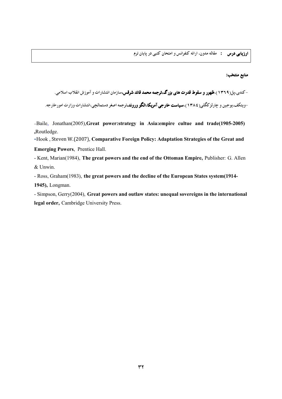**ارزیابی درس د** مقاله مدون، ارائه کنفرانس و امتحان کتبی در پایان ترم

## منابع منتخب:

–کند<sub>ی،</sub>پل(۱۳۲۹)،**ظهور و سقوط قدرت های بزرگ،ترجمه محمد قائد شرقس،**سازمان انتشارات و آموزش انقلاب اسلامی.

-ویتکف،یوجین و چارلزکگلبی( ۱۳۸٤)،**سیاست خارجی آمریکا:الگو وروند**،ترجمه اصغر دستمالچی،انتشارات وزارت امورخارجه.

-Baile, Jonathan(2005), Great power: strategy in Asia: empire cultue and trade(1905-2005) ,Routledge.

-Hook, Steven W. (2007), Comparative Foreign Policy: Adaptation Strategies of the Great and

**Emerging Powers**, Prentice Hall.

- Kent, Marian(1984), The great powers and the end of the Ottoman Empire, Publisher: G. Allen & Unwin.

- Ross, Graham (1983), the great powers and the decline of the European States system (1914-1945), Longman.

- Simpson, Gerry(2004), Great powers and outlaw states: unequal sovereigns in the international legal order, Cambridge University Press.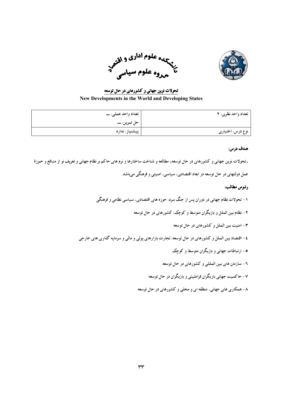



تحولات نوین جهانی و کشورهای در حال توسعه **New Developments in the World and Developing States** 

| تعداد واحد نظري: ٢ | تعداد واحد عملي: ـــ |
|--------------------|----------------------|
|                    |                      |
| نوع درس: اختیاری   | پیشنیاز: ندارد       |

«تحولات نوین جهانی و کشورهای در حال توسعه» مطالعه و شناخت ساختارها و نرم های حاکم بر نظام جهانی و تعریف نو از منـافع و حـوزهٔ

عمل دولتهای در حال توسعه در ابعاد اقتصادی، سیاسی، امنیتی و فرهنگی میباشد.

- ۱ تحولات نظام جهانی در دوران پس از جنگ سرد: حوزه های اقتصادی، سیاسی نظامی و فرهنگی
	- ۲ نظام بین الملل و بازیگران متوسط و کوچک: کشورهای در حال توسعه
		- ٣- امنيت بين الملل و كشورهاي در حال توسعه
- ٤- اقتصاد بين الملل و كشورهاي در حال توسعه: تجارت بازارهاي يولي و مالي و سرمايه گذاري هاي خارجي
	- ۰- ارتباطات جهانی و بازیگران متوسط و کوچک
	- ۲- سازمان های بین المللی و کشورهای در حال توسعه
	- ۷– حاکمیت جهانی بازیگران فراملیتی و بازیگران در حال توسعه
	- ۸– همکاری های جهانی، منطقه ای و محلبی و کشورهای در حال توسعه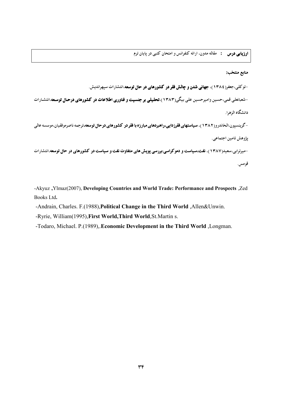**ارزیابی درس :** مقاله مدون، ارائه کنفرانس و امتحان کتبی در پایان ترم

# منابع منتخب:

-توکلی،جعفر( ۱۳۸٤)، جهانی شدن و چالش فقر در کشورهای در حال توسعه،انتشارات سیهراندیش.

-شعبانعلی قمی،حسین وامیرحسین علی بیگی(۱۳۸۳)،**تحلیلی بر جنسیت و فناوری اطلاعات در کشورهای درحال توسعه**،انتشارات دانشگاه الزهرا.

-گرینسپون،الخاندرو(۱۳۸۲)، **سیاستهای فقرزدایی،راهبردهای مبارزه با فقر در کشورهای درحال توسعه**،ترجمه ناصرموفقیان،موسسه عالی يژوهش تامين اجتماعي.

-میرترابی،سعید(۱۳۸۷)، نفت،**سیاست و دموکراسی:بررسی پویش های متفاوت نفت و سیاست در کشورهای در حال توسعه**،انتشارات قومس.

-Akyuz , Ylmaz(2007), Developing Countries and World Trade: Performance and Prospects , Zed Books Ltd.

-Andrain, Charles. F.(1988), Political Change in the Third World, Allen&Unwin.

-Ryrie, William(1995), First World, Third World, St. Martin s.

-Todaro, Michael. P.(1989), Economic Development in the Third World , Longman.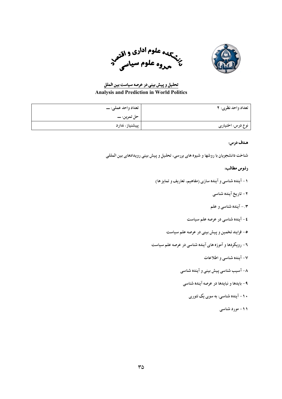



# تحلیل و پیش بینی در عرصه سیاست بین الملل

## **Analysis and Prediction in World Politics**

| تعداد واحد نظري: ٢ | تعداد واحد عملي: ـــ |
|--------------------|----------------------|
|                    |                      |
| نوع درس: اختیاری   | پیشنیاز: ندارد       |

# هدف درس:

شناخت دانشجویان با روشها و شیوه های بررسی، تحلیل و پیش بینی رویدادهای بین المللی

- ۱ آینده شناسی و آینده سازی (مفاهیم، تعاریف و تمایز ها)
	- ۲ تاریخ آینده شناسی
	- ۰.۳ آینده شناسی و علم
	- ٤ آينده شناسي در عرصه علم سياست
	- ٥- فرايند تخمين و ييش بيني در عرصه علم سياست
- ۲- رویکردها و آموزه های آینده شناسی در عرصه علم سیاست
	- ۷- آینده شناسی و اطلاعات
	- ۸- آسیب شناسی پیش بینی و آینده شناسی
	- ۹- بایدها و نبایدها در عرصه آینده شناسی
		- ۰۱۰ آینده شناسی: به سوی یک تئوری
			- ۱۱– مورد شناسی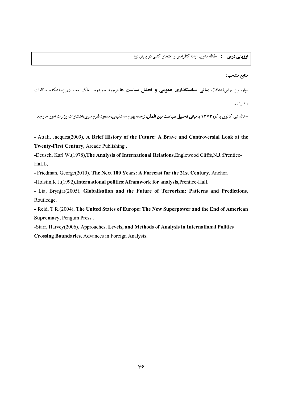<mark>ارزیابی درس : م</mark>قاله مدون، ارائه کنفرانس و امتحان کتبی در پایان ترم

#### منابع منتخب:

-پارسونز ،واین(۱۳۸۵)، **مبانی سیاستگذاری عمومی و تحلیل سیاست ها**،ترجمه حمیدرضا ملک محمدی،پژوهشکده مطالعات

راهبر دي.

-هالستبي، كالوي ياكور(١٣٧٣)،مباني تحليل سياست بين الملل،ترجمه بهرام مستقيمي،مسعودطارم سري،انتشارات وزارت امور خارجه.

- Attali, Jacques(2009), A Brief History of the Future: A Brave and Controversial Look at the Twenty-First Century, Arcade Publishing.

-Deusch, Karl W.(1978), The Analysis of International Relations, Englewood Cliffs, N.J.: Prentice-HaLL

- Friedman, George(2010), The Next 100 Years: A Forecast for the 21st Century, Anchor.

-Holstin, K.J.(1992), International politics: Aframwork for analysis, Prentice-Hall.

- Lia, Brynjar(2005), Globalisation and the Future of Terrorism: Patterns and Predictions, Routledge.

- Reid, T.R.(2004), The United States of Europe: The New Superpower and the End of American Supremacy, Penguin Press.

-Starr, Harvey(2006), Approaches, Levels, and Methods of Analysis in International Politics **Crossing Boundaries, Advances in Foreign Analysis.**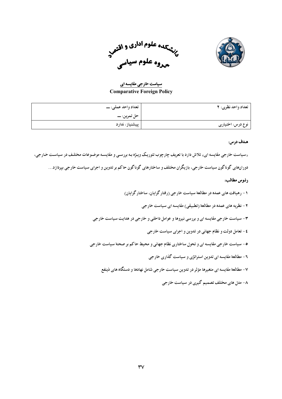



سیاست خارجی مقایسه ای **Comparative Foreign Policy** 

| تعداد واحد نظري: ٢ | تعداد واحد عملي: ـــ |
|--------------------|----------------------|
|                    | حل تمرين: ـــــ      |
| نوع درس: اختیاری   | پیشنیاز: ندارد       |

«سیاست خارجی مقایسه ای» تلاش دارد با تعریف چارچوب تئوریک وییژه بـه بررسـی و مقایسـه موضـوعات مختلـف در سیاسـت خـارجی،

دورانهای گوناگون سیاست خارجی، بازیگران مختلف و ساختارهای گوناگون حاکم بر تدوین و اجرای سیاست خارجی بپردازد…

- ۱ رهیافت های عمده در مطالعهٔ سیاست خارجی (رفتار گرایان، ساختار گرایان)
	- ۲ نظریه های عمده در مطالعهٔ (تطبیقی) مقایسه ای سیاست خارجی
- ۳- سیاست خارجی مقایسه ای و بررسی نیروها و عوامل داخلی و خارجی در هدایت سیاست خارجی
	- ٤ تعامل دولت و نظام جهاني در تدوين و اجراي سياست خارجي
- ۰- سیاست خارجی مقایسه ای و تحول ساختاری نظام جهانی و محیط حاکم بر صحنهٔ سیاست خارجی
	- ۶ مطالعهٔ مقایسه ای تدوین استراتژی و سیاست گذاری خارجی
	- ۷- مطالعهٔ مقایسه ای متغیرها مؤثر در تدوین سیاست خارجی شامل نهادها و دستگاه های ذینفع
		- ۸- مدل های مختلف تصمیم گیری در سیاست خارجی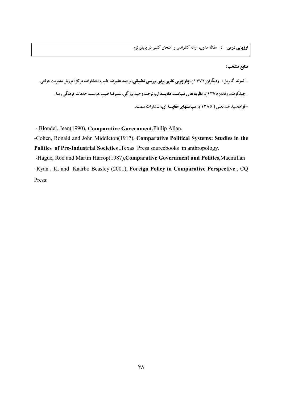# منابع منتخب:

-آلموند،گابریل ۱. ودیگران(۱۳۷۲)،**چارچوبی نظری برای بررسی تطبیقی،**ترجمه علیرضا طیب،انتشارات مرکز آموزش مدیریت دولتی<sub>-</sub> -چیلکوت،رونالد(۱۳۷۸)، **نظریه های سیاست مقایسه ای،**ترجمه وحید بزرگی،علیرضا طیب،موسسه خدمات فرهنگی رسا. -قوام،سید عبدالعلی ( ١٣٨٥)، سیاستهای مقایسه ای،انتشارات سمت.

- Blondel, Jean(1990), Comparative Government, Philip Allan.

-Cohen, Ronald and John Middleton(1917), Comparative Political Systems: Studies in the Politics of Pre-Industrial Societies, Texas Press sourcebooks in anthropology.

-Hague, Rod and Martin Harrop(1987), Comparative Government and Politics, Macmillan -Ryan, K. and Kaarbo Beasley (2001), Foreign Policy in Comparative Perspective, CQ Press: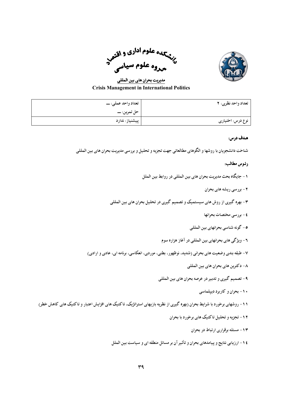

به علوم <sup>ادا</sup>ری و اقتص<br>ب<sup>ر</sup>شیمهوه علوم سیاسی

مدیریت بحران های بین المللی **Crisis Management in International Politics** 

| تعداد واحد نظري: ٢ | تعداد واحد عملي: ـــ |
|--------------------|----------------------|
|                    |                      |
| نوع درس: اختیاری   | پیشنیاز: ندارد       |

شناخت دانشجويان با روشها و الگوهاي مطالعاتي جهت تجزيه و تحليل و بررسي مديريت بحران هاي بين المللي

## رنيوس مطالب:

- ۱ جايگاه بحث مديريت بحران هاي بين المللي در روابط بين الملل
	- ۲ بررسی ریشه های بحران
- ۳- بهره گیری از روش های سیستمیک و تصمیم گیری در تحلیل بحران های بین المللی
	- ٤ بررسي مختصات بحرانها
	- ٥- گونه شناسي بحرانهاي بين المللي
	- ٦- ويژگي هاي بحرانهاي بين المللي در آغاز هزاره سوم
- ۷- طبقه بندی وضعیت های بحرانی (شدید، نوظهور، بطنی، موردی، انعکاسی، برنامه ای، عادی و ارادی)
	- ٨- دكترين هاي بحران هاي بين المللي
	- ۹- تصميم گيري و تدبير در عرصه بحران هاي بين المللي
		- ۱۰- بحران و کاربرد دیپلماسی
- ۱۱- روشهای برخورد با شرایط بحران (بهره گیری از نظریه بازیهای استراتژیک، تاکتیک های افزایش اعتبار و تاکتیک های کاهش خطر)
	- ۱۲- تجزیه و تحلیل تاکتیک های برخورد با بحران
		- ۱۳- مسئله برقراری ارتباط در بحران
	- ٤ ١ ارزيابي نتايج و پيامدهاي بحران و تأثير آن بر مسائل منطقه اي و سياست بين الملل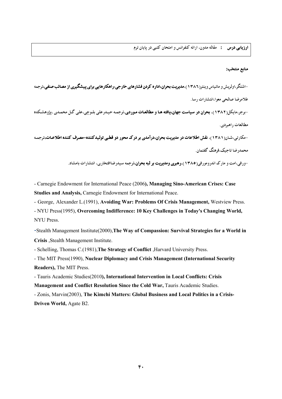<mark>ارزیابی درس : مقاله مد</mark>ون، ارائه کنفرانس و امتحان کتبی در پایان ترم

#### منابع منتخب:

-اشتگر،اولریش و ماتیاس وینتر(١٣٨٦)،مدیریت بحران،اداره کردن فشارهای خارجی:راهکارهایی برای پیشگیری از مصائب صنفی،ترجمه غلامرضا صالحي معوا،انتشارات رسا. -برج،مایکل(۱۳۸۲)، بحوان در سیاست جهان،یافته هـا و مطالعـات مـوردی،ترجمـه حیـدرعلی بلـوچی،علی گـل محمـدی ،پژوهشـکده

مطالعات راههردی.

-مکارتی،شان(۱۳۸۱)، نقش اطلاعات در مدیریت بحران،درآمدی بر درک محور دو قطبی تولیدکننده-مصرف کننده اطلاعات،ترجمه محمد, ضا تاحىک،فرهنگ گفتمان.

-ورفی،امت و مارک اندرومورفی( ۱۳۸۰)،رهبری **ومدیریت بر لبه بحران،تر**جمه سیدرضاافتخاری، انتشار ات بامشاد.

- Carnegie Endowment for International Peace (2006), Managing Sino-American Crises: Case Studies and Analysis, Carnegie Endowment for International Peace.

- George, Alexander L. (1991), Avoiding War: Problems Of Crisis Management, Westview Press.

- NYU Press(1995), Overcoming Indifference: 10 Key Challenges in Today's Changing World, **NYU Press.** 

-Stealth Management Institute(2000), The Way of Compassion: Survival Strategies for a World in Crisis , Stealth Management Institute.

- Schelling, Thomas C.(1981), The Strategy of Conflict , Harvard University Press.

- The MIT Press(1990), Nuclear Diplomacy and Crisis Management (International Security Readers), The MIT Press.

- Tauris Academic Studies(2010), International Intervention in Local Conflicts: Crisis

Management and Conflict Resolution Since the Cold War, Tauris Academic Studies.

- Zonis, Marvin(2003), The Kimchi Matters: Global Business and Local Politics in a Crisis-Driven World, Agate B2.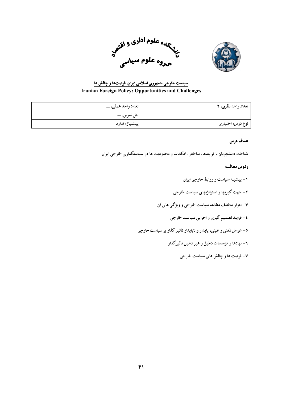



# سیاست خارجی جمهوری اسلامی ایران: فرصتها و چالش ها **Iranian Foreign Policy: Opportunities and Challenges**

| تعداد واحد نظري: ٢ | تعداد واحد عملي: ـــ |
|--------------------|----------------------|
|                    | حل تمرين: ـــــ      |
| نوع درس: اختیاری   | پیشنیاز: ندارد       |

## هدف درس:

شناخت دانشجویان با فرایندها، ساختار، امکانات و محدودیت ها در سیاستگذاری خارجی ایران

- ۱ پیشینه سیاست و روابط خارجی ایران
- ۲ جهت گیریها و استراتژیهای سیاست خارجی
- ۳- ادوار مختلف مطالعه سیاست خارجی و ویژگی های آن
	- ٤- فرایند تصمیم گیری و اجرایی سیاست خارجی
- ۰- عوامل ذهنی و عینی، پایدار و ناپایدار تأثیر گذار بر سیاست خارجی
	- ۰<br>۳ نهادها و مؤسسات دخبل و غیر دخیل تأثیر گذار
		- ۷- فرصت ها و چالش های سیاست خارجی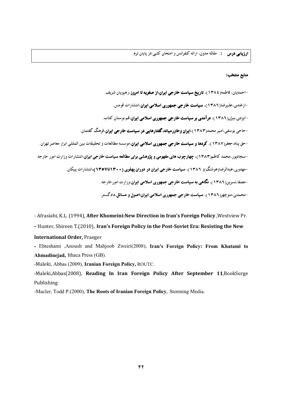**ارزیابی درس :** مقاله مدون، ارائه کنفرانس و امتحان کتبی در یایان ترم

# منابع منتخب:

-احمدیان، فاطمه( ۱۳۸٤)، **تاریخ سیاست خارجی ایران:از صفویه تا امروز**،رهیویان شریف. -ازغندي،عليرضا(١٣٨٦)، **سياست خارجي جمهوري اسلامي ايران**،انتشارات قومس. -ایزدی،بیژن(۱۳۸۲)، **درآمدی بر سیاست خارجی جمهوری اسلامی ایران**،قم:بوستان کتاب. -حاجی یوسفی،امیر محمد(۱۳۸۳)،ا**یران وخاورمیانه،گفتارهایی در سیاست خارجی ایران**،فرهنگ گفتمان. -حق یناه،جعفر(۱۳۸۷)، کردها و سیاست خارجی جمهوری اسلامی ایران،موسسه مطالعات و تحقیقات بین المللی ابرار معاصر تهران. -سجادیور،محمد کاظم(۱۳۸۳)، چهارچوب های مفهومی و پژوهشی برای مطالعه سیاست خارجی ایران،انتشارات وزارت امور خارجه. -مهدوی،عبدالرضا(هوشنگ)( ۱۳۸۶)، **سیاست خارجی ایران در دوران یهلوی (۲۰۰۰اتا۱۳۰۷)**،انتشارات پیکان. -مصفا،نسرین(۱۳۸۶)، نگاهی به سیاست خارجی جمهوری اسلامی ایران،وزارت امور خارجه. -محمدی،منوچهر(۱۳۸۲)، سیاست خارجی جمهوری اسلامی ایران:اصول و مسائل،دادگستر.

- Afrasiabi, K.L. (1994), After Khomeini: New Direction in Iran's Foreign Policy, Westview Pr.

- Hunter, Shireen T.(2010), Iran's Foreign Policy in the Post-Soviet Era: Resisting the New

## **International Order, Praeger**

- Ehteshami ,Anoush and Mahjoob Zweiri(2008), Iran's Foreign Policy: From Khatami to Ahmadinejad, Ithaca Press (GB).

-Maleki, Abbas (2009), Iranian Foreign Policy, ROUTC.

-Maleki, Abbas(2008), Reading In Iran Foreign Policy After September 11, BookSurge Publishing

-Macler, Todd P.(2000), The Roots of Iranian Foreign Policy, Storming Media.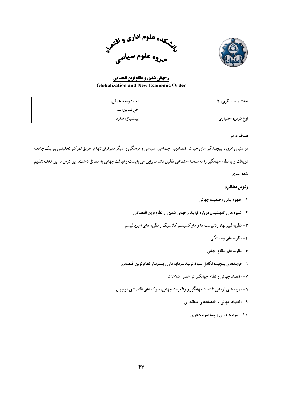



«جهانی شدن» و نظام نوین اقتصادی **Globalization and New Economic Order** 

| تعداد واحد نظري: ٢ | تعداد واحد عملي: ـــ |
|--------------------|----------------------|
|                    | حل تمرين: ـــــ      |
| نوع درس: اختیاری   | پیشنیاز: ندارد       |

در دنیای امروز، پیچیدگی های حیات اقتصادی، اجتماعی، سیاسی و فرهنگی را دیگر نمیتوان تنها از طریق تمرکز تحلیلی بر یک جامعه دریافت و یا نظام جهانگیر را به صحنه اجتماعی تقلیل داد. بنابراین می بایست رهیافت جهانی به مسائل داشت. این درس با این هدف تنظیم شده است.

- ١ مفهوم بندي وضعيت جهاني
- ۲ شیوه های اندیشیدن درباره فرایند «جهانی شدن» و نظام نوین اقتصادی
- ۳- نظریه لیبرالها، رئالیست ها و مارکسیسم کلاسیک و نظریه های امپریالیسم
	- ٤ نظریه های وابستگی
	- ٥ نظریه های نظام جهانی
- ٦- فرایندهای پیچیده تکامل شیوهٔ تولید سرمایه داری بسترساز نظام نوین اقتصادی
	- ۷- اقتصاد جهانی و نظام جهانگیر در عصر اطلاعات
- ۸– نمونه های آرمانی اقتصاد جهانگیر و واقعیات جهانی: بلوک های اقتصادی درجهان
	- ۹ اقتصاد جهانی و اقتصادهای منطقه ای
		- ۱۰- سرمایه داری و پسا سرمایهداری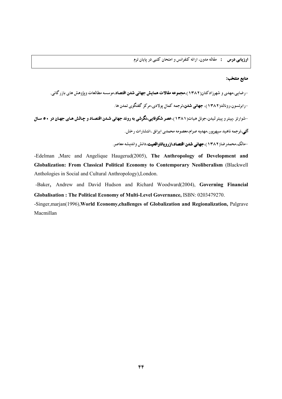**ارزیابی درس :** مقاله مدون، ارائه کنفرانس و امتحان کتبی در پایان ترم

# منابع منتخب:

-رضایی،مهدی و شهرزادکتان(۱۳۸۲)،**مجموعه مقالات همایش جهانی شدن اقتصاد**،موسسه مطالعات ویژوهش های بازرگانی. -رابرتسون،رونالد(۱۳۸۲)، **جهانی شدن،**ترجمه کمال یولادی،مرکز گفتگوی تمدن ها. -شوارتز ،پیتر و پیتر لیدن،جوئل هیات(١٣٨١)،عصر شكوفایی،نگرشی به روند جهانی شدن اقتصاد و چالش های جهان در ٥٠ سال **آتی**،ترجمه ناهید سیهریور،مهدیه صرام،معصومه محمدی ایرانق ،انتشارات رخش.

-مالک،محمدرضا(۱۳۸۲)،جهانی شدن اقتصاد،ازرویاتاواقعیت،دانش واندیشه معاصر.

-Edelman , Marc and Angelique Haugerud(2005), The Anthropology of Development and Globalization: From Classical Political Economy to Contemporary Neoliberalism (Blackwell Anthologies in Social and Cultural Anthropology), London.

-Baker, Andrew and David Hudson and Richard Woodward(2004), Governing Financial Globalisation: The Political Economy of Multi-Level Governance, ISBN: 0203479270.

-Singer, marjan(1996), World Economy, challenges of Globalization and Regionalization, Palgrave Macmillan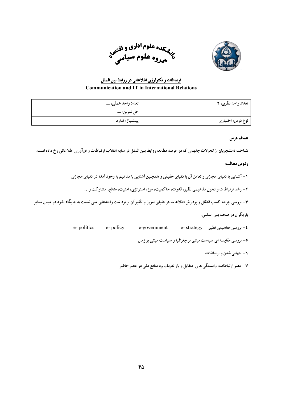



# ارتباطات و تکنولوژی اطلاعاتی در روابط بین الملل **Communication and IT in International Relations**

| تعداد واحد نظري: ٢ | تعداد واحد عملي: ـــ |
|--------------------|----------------------|
|                    |                      |
| نوع درس: اختیاری   | پیشنیاز: ندارد       |

# هدف درس:

شناخت دانشجویان از تحولات جدیدی که در عرصه مطالعه روابط بین الملل در سایه انقلاب ارتباطات و فنآوری اطلاعاتی رخ داده است.

## رئوس مطالب:

۱ – آشنایی با دنیای مجازی و تعامل آن با دنیای حقیقی و همچنین آشنایی با مفاهیم به وجود آمده در دنیای مجازی

۲ – رشد ارتباطات و تحول مفاهیمی نظیر، قدرت، حاکمیت، مرز، استراتژی، امنیت، منافع، مشارکت و…

۳- بررسی چرخه کسب انتقال و پردازش اطلاعات در دنیای امروز و تأثیر آن بر برداشت واحدهای ملی نسبت به جایگاه خود در میـان سـایر

بازیگران در صحنه بین المللی.

e-politics e-policy e-government £ - بررسی مفاهیمی نظیر c- strategy

۰- بررسی مقایسه ای سیاست مبتنی بر جغرافیا و سیاست مبتنی بر زمان

۶ – جهانی شدن و ارتباطات

۷- عصر ارتباطات، وابستگی های ِ متقابل و باز تعریف برد منافع ملی در عصر حاضر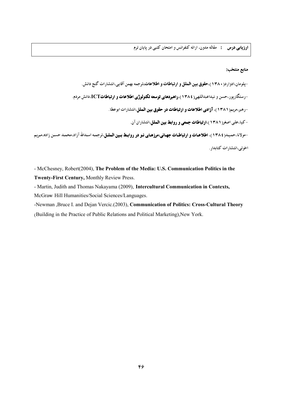## منابع منتخب:

-پلومان،ادوارد( **۱۳۸۰)،حقوق بین الملل و ارتباطات و اطلاعات،**ترجمه بهمن آقایی،انتشارات گنج دانش. -رستگاریور،حسن و نیداعبداللهی( ۱۳۸٤)،راهبردهای توسعه تکنولوژی اطلاعات و ارتباطاتTل،دانش مردم. -رهبر،مريم(١٣٨١)، آزادي اطلاعات و ارتباطات در حقوق بين الملل،انتشارات ابوعطا. -کیا،علی اصغر( ۱۳۸۱)،ا**رتباطات جمعی و روابط بین الملل**،انتشاران آن. -مولانا،حمید(١٣٨٤)، اطلاعات و ارتباطات جهاني:مرزهاي نو در روابط بين الملل،ترجمه اسدالله آزاد،محمد حسن زاده،مريم اخوتی،انتشارات کتابدار .

- McChesney, Robert(2004), The Problem of the Media: U.S. Communication Politics in the Twenty-First Century, Monthly Review Press.

- Martin, Judith and Thomas Nakayama (2009), Intercultural Communication in Contexts, McGraw Hill Humanities/Social Sciences/Languages.

-Newman , Bruce I. and Dejan Vercic.(2003), Communication of Politics: Cross-Cultural Theory (Building in the Practice of Public Relations and Political Marketing), New York.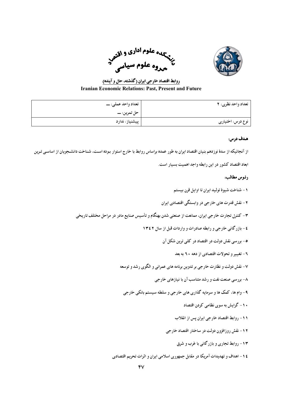



روابط اقتصاد خارجی ایران (گذشته، حال و آینده) **Iranian Economic Relations: Past, Present and Future** 

| تعداد واحد نظري: ٢ | تعداد واحد عملي: ـــ |
|--------------------|----------------------|
|                    |                      |
| نوع درس: اختیاری   | پیشنیاز: ندارد       |

از آنجائیکه از سدهٔ نوزدهم بنیان اقتصاد ایران به طور عمده براساس روابط با خارج استوار بوده است، شناخت دانشجویان از اساسی تـرین

ابعاد اقتصاد کشور در این رابطه واجد اهمیت بسیار است.

- ١ شناخت شيوة توليد أيران تا أوايل قرن بيستم
- ۲ نقش قدرت های خارجی در وابستگی اقتصادی ایران
- ۳- کنترل تجارت خارجي ايران، ممانعت از صنعتي شدن بهنگام و تأسيس صنايع مادر در مراحل مختلف تاريخي
	- ٤ بازرگانی خارجی و رابطه صادرات و واردات قبل از سال ١٣٤٢
		- ٥- بورسي نقش دولت در اقتصاد در كلبي توين شكل آن
			- ۲- تغییر و تحولات اقتصادی از دهه ۲۰ به بعد
	- ۷- نقش دولت و نظارت خارجي بر تدوين برنامه هاي عمراني و الگوي رشد و توسعه
		- ۸- بور سی صنعت نفت و رشد متناسب آن با نیازهای خارجی
		- ۹- وام ها، کمک ها و سرمایه گذاری های خارجی و سلطه سیستم بانکی خارجی
			- ۱۰– گرایش به سوی نظامی کردن اقتصاد
			- ١١- روابط اقتصاد خارجي ايران يس از انقلاب
			- ۱۲ نقش روزافزون دولت در ساختار اقتصاد خارجی
				- ۱۳- روابط تجاری و بازرگانی با غرب و شرق
	- ٤ ١ اهداف و تهدیدات آمریکا در مقابل جمهوری اسلامی ایران و اثرات تحریم اقتصادی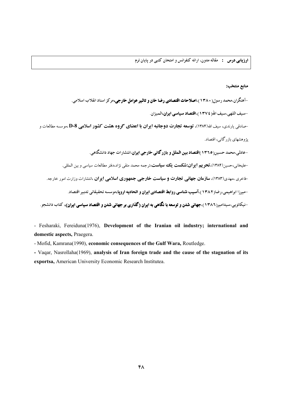## منابع منتخب:

-آهنگران،محمد رسول( ۱۳۸۰)،ا**صلاحات اقتصادی رضا خان و تاثیر عوامل خارجی،**مرکز اسناد انقلاب اسلامی.

-سيف اللهي،سيف الله ( ١٣٧٤)،ا**قتصاد سياسي ايران،**الميزان.

-صادقی پارندی، سیف الله(۱۳۸۴)، **توسعه تجارت دوجانبه ایران با اعضای گروه هشت کشور اسلامی D-8** ،موسسه مطالعات و یژوهشهای بازرگانی، اقتصاد.

-عادلی،محمد حسین( ۱۳٦٥)ا**قتصاد بین الملل و بازر گانی خارجی ایران**،انتشارات جهاد دانشگاهی.

-عليخاني،حسين(١٣٨۴)،**تحريم ايران:شكست يكك سياست**،ترجمه محمد متقى نژاد،دفتر مطالعات سياسي و بين المللي.

-فاخری ،مهدی(۱۳۸۳)، **سازمان جهانی تجارت و سیاست خارجی جمهوری اسلامی ایران** ،انتشارات وزارت امور خارجه.

-میرزا ابراهیمی،رضا(١٣٨٢)،**آسیب شناسی روابط اقتصادی ایران و اتحادیه ارویا،**موسسه تحقیقاتی تدبیر اقتصاد.

-نیکائویی،سیدامیر(۱۳۸۲)،جهانی شدن و توسعه با نگاهی به ایران (گذاری بر جهانی شدن و اقتصاد سیاسی ایران)، کتاب دانشجو.

- Fesharaki, Fereiduna(1976), Development of the Iranian oil industry; international and domestic aspects, Praegera.

- Mofid, Kamrana(1990), economic consequences of the Gulf Wara, Routledge.

- Vagar, Nasrollaha(1969), analysis of Iran foreign trade and the cause of the stagnation of its exportsa, American University Economic Research Institutea.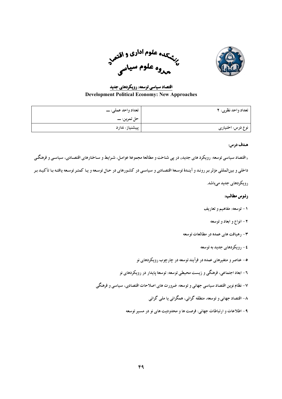



اقتصاد سیاسی توسعه: رویکردهای جدید **Development Political Economy: New Approaches** 

| تعداد واحد نظري: ٢ | تعداد واحد عملي: ـــ |
|--------------------|----------------------|
|                    |                      |
| نوع درس: اختیاری   | پیشنیاز: ندارد       |

«اقتصاد سیاسی توسعه: رویکرد های جدید» در پی شناخت و مطالعهٔ مجموعهٔ عوامل، شـرایط و سـاختارهای اقتصـادی، سیاسـی و فرهنگـی داخلی و بینالمللی مؤثر بر روند و آیندهٔ توسعهٔ اقتصادی و سیاسی در کشورهای در حال توسعه و یـا کمتـر توسعه یافتـه بـا تأکیـد بـر

رویکردهای جدید میباشد.

- ۱- توسعه: مفاهیم و تعاریف
	- ۲ انواع و ابعاد و توسعه
- ۳- رهيافت هاي عمده در مطالعات توسعه
	- ٤ رویکردهای جدید به توسعه
- ۰- عناصر و متغیرهای عمده در فرآیند توسعه در چارچوب رویکردهای نو
- ٦- ابعاد اجتماعي، فرهنگي و زيست محيطي توسعه: توسعهٔ پايدار در رويكردهاي نو
- ٧- نظام نوین اقتصاد سیاسی جهانی و توسعه: ضرورت های اصلاحات اقتصادی، سیاسی و فرهنگی
	- ۸– اقتصاد جهانی و توسعه، منطقه گرائی، همگرائی یا ملی گرائی
	- ۹- اطلاعات و ارتباطات جهاني: فرصت ها و محدوديت هاي نو در مسير توسعه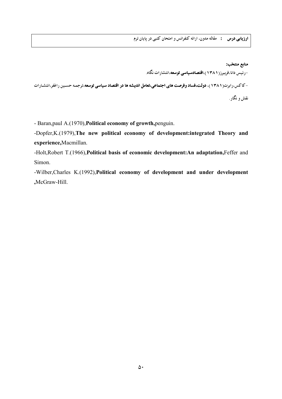**ارزیابی درس :** مقاله مدون، ارائه کنفرانس و امتحان کتبی در پایان ترم

منابع منتخب: –رئیس دانا،فریبرز( ۱۳۸۱)،ا**قتصادسیاسی توسعه**،انتشارات نگاه. -کاکس،رابرت(۱۳۸۱)، **دولت،فساد وفرصت های اجتماعی،تعامل اندیشه ها در اقتصاد سیاسی توسعه**،ترجمه حسـین راغفر،انتشـارات نقش و نگار .

- Baran, paul A. (1970), Political economy of growth, penguin.

-Dopfer, K.(1979), The new political economy of development: integrated Theory and experience, Macmillan.

-Holt, Robert T.(1966), Political basis of economic development: An adaptation, Feffer and Simon.

-Wilber, Charles K.(1992), Political economy of development and under development ,McGraw-Hill.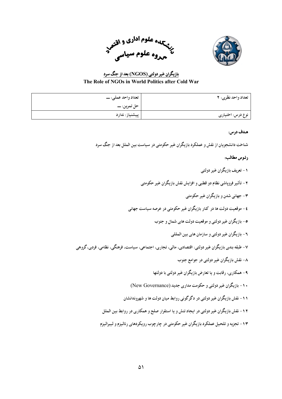



# بازیگران غیر دولتی (NGOS) بعد از جنگ سرد The Role of NGOs in World Politics after Cold War

| تعداد واحد نظري: ٢ | تعداد واحد عملي: ـــ |
|--------------------|----------------------|
|                    |                      |
| نوع درس: اختیاری   | پیشنیاز: ندارد       |

## هـدف درس:

شناخت دانشجویان از نقش و عملکرد بازیگران غیر حکومتی در سیاست بین الملل بعد از جنگ سرد

# رئوس مطالب:

۱ – تعریف مازیگران غیر دولتبی ۲ – تأثیر فرویاشی نظام دو قطبی و افزایش نقش بازیگران غیر حکومتی ۴ – جهانی شدن و بازیگران غیر حکومتی **٤**- موقعیت دولت ها در کنار بازیگران غیر حکومتی در عرصه سیاست جهانی ٥- بازيگران غير دولتي و موقعت دولت هاي شمال و حنوب ۲- بازیگران غیر دولتی و سازمان های بین المللی ٧– طبقه بندي بازيگران غير دولتي: اقتصادي، مالي، تجاري، اجتماعي، سياست، فرهنگي، نظامي، فردي، گروهي ۸- نقش بازیگران غیر دولتی در جوامع جنوب ۹- همکاری، رقابت و یا تعارض بازیگران غیر دولتی با دولتها ۱۰- بازیگران غیر دولتی و حکومت مداری جدید (New Governance) ۱۱- نقش پازیگران غیر دولتی در دگر گونی روابط میان دولت ها و شهروندانشان ۱۲- نقش بازیگران غیر دولتی در ایجاد تنش و یا استقرار صلح و همکاری در روابط بین الملل ۱۳- تجزیه و تلحیل عملکرد بازیگران غیر حکومتی در چارچوب رویکردهای رئالیزم و لیبرالیزم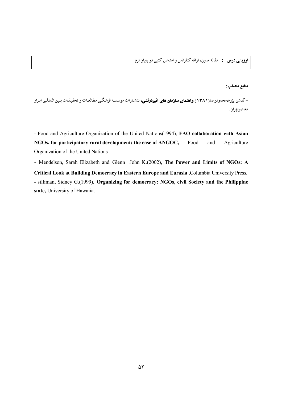**ارزیابی درس :** مقاله مدون، ارائه کنفرانس و امتحان کتبی در پایان ترم

## منابع منتخب:

-گلشن پژوه،محمودرضا(۱۳۸۱)،واهنمای سازمان های غیردولتی،انتشارات موسسه فرهنگبی مطالعات و تحقیقات بـین المللـی ابـرار معاصرتهران.

- Food and Agriculture Organization of the United Nations(1994), FAO collaboration with Asian NGOs, for participatory rural development: the case of ANGOC, Food and Agriculture Organization of the United Nations

- Mendelson, Sarah Elizabeth and Glenn John K.(2002), The Power and Limits of NGOs: A Critical Look at Building Democracy in Eastern Europe and Eurasia, Columbia University Press. - silliman, Sidney G.(1999), Organizing for democracy: NGOs, civil Society and the Philippine state, University of Hawaiia.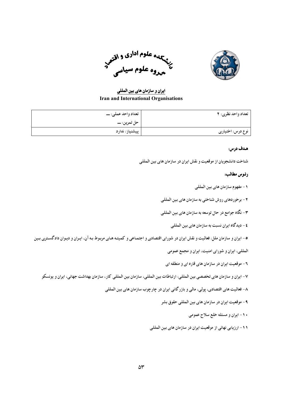

سپهاه علوم <sup>ادا</sup>دی و اقتصر<br>تأسیروه علوم سیاسی

ایران و سازمان های بین المللی **Iran and International Organisations** 

| تعداد واحد نظري: ٢ | تعداد واحد عملي: ـــ |
|--------------------|----------------------|
|                    |                      |
| نوع درس: اختیاری   | پیشنیاز: ندارد       |

شناخت دانشجويان از موقعيت و نقش ايران در سازمان هاي بين المللي

## رئوس مطالب:

- ١ مفهوم سازمان هاي بين المللي
- ۲ برخوردهای روش شناختی به سازمان های بین المللی
- ۳- نگاه جوامع در حال توسعه به سازمان های بین المللی
	- ٤ ديدگاه ايران نسبت به سازمان هاي بين المللي
- ۰- ایران و سازمان ملل: فعالیت و نقش ایران در شورای اقتصادی و اجتماعی و کمیته های مربوط به آن، ایران و دیوان دادگستری بین

المللي، ايران و شوراي امنيت، ايران و مجمع عمومي

- ۲- موقعیت ایران در سازمان های قاره ای و منطقه ای
- ٧- ايران و سازمان هاي تخصصي بين المللي: ارتباطات بين المللي، سازمان بين المللي كار، سازمان بهداشت جهاني، ايران و يونسكو
	- ۸- فعالیت های اقتصادی، پولی، مالی و بازر گانی ایران در چارچوب سازمان های بین المللی
		- ۹- موقعیت ایران در سازمان های بین المللی حقوق بشر
			- ۱۰- ایران و مسئله خلع سلاح عمومی
		- ١١- ارزيابي نهائي از موقعيت ايران در سازمان هاي بين المللي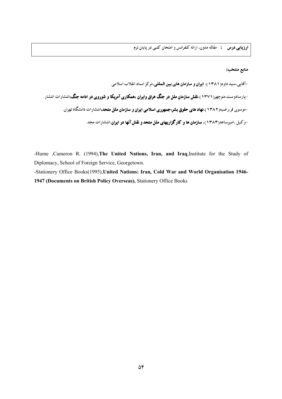منابع منتخب:

-Hume ,Cameron R. (1994),The United Nations, Iran, and Iraq,Institute for the Study of Diplomacy, School of Foreign Service, Georgetown.

-Stationery Office Books(1995), United Nations: Iran, Cold War and World Organisation 1946-1947 (Documents on British Policy Overseas), Stationery Office Books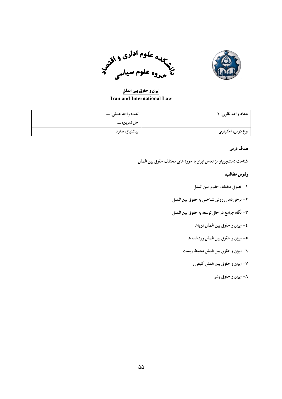



ايران و حقوق بين الملل **Iran and International Law** 

| تعداد واحد نظري: ٢ | تعداد واحد عملي: ـــ |
|--------------------|----------------------|
|                    |                      |
| نوع درس: اختیاری   | پیشنیاز: ندارد       |

شناخت دانشجویان از تعامل ایران با حوزه های مختلف حقوق بین الملل

- ١ فصول مختلف حقوق بين الملل
- ٢- برخوردهاي روش شناختي به حقوق بين الملل
- ۳- نگاه جوامع در حال توسعه به حقوق بین الملل
	- ٤ ايران و حقوق بين الملل درياها
	- ۰- ايران و حقوق بين الملل رودخانه ها
	- ٦- ايران و حقوق بين الملل محيط زيست
		- ٧- ايران و حقوق بين الملل كيفري
			- ۸- ایران و حقوق بشر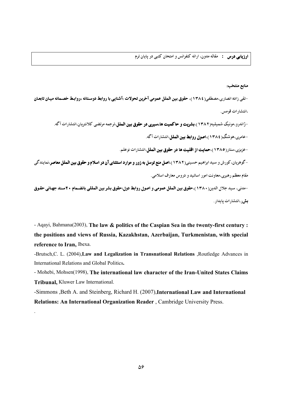منابع منتخب:

-تقى زاده انصارى،مصطفى(١٣٨٤)، حقوق بين الملل عمومى آخرين تحولات :آشنايي با روابط دوستانه ،روابط خصـمانه ميـان تابعـان ،انتشارات قومس.

-ژاندرو،مونیک شمیلیه(۱۳۸۲)،بشریت و حاکمیت ها،سیری در حقوق بین الملل،ترجمه مرتضی کلانتریان،انتشارات آگه.

-عامری،هوشنگ(١٣٨٤)،اصول روابط بین الملل،انتشارات آگه.

-عزیزی،ستار(۱۳۸٥)،حمایت از اقلیت ها در حقوق بین الملل،انتشارات نوعلم.

-گوهریان، کورش و سید ابراهیم حسینی( ۱۳۸۲)،ا**صل منع توسل به زور و موارد استثنای آن در اسلام و حقوق بین الملل معاصر**،نمایندگی مقام معظم رهبري،معاونت امور اساتيد و دروس معارف اسلامي.

-مدنى، سيد جلال الدين(١٣٨٠)،حقوق بين الملل عمومي و اصول روابط دول:حقوق بشر بين المللي بانضمام ٢٠سند جهاني حقوق بش ر،انتشارات يايدار.

- Aqayi, Bahmana(2003), The law & politics of the Caspian Sea in the twenty-first century: the positions and views of Russia, Kazakhstan, Azerbaijan, Turkmenistan, with special reference to Iran, Ibexa.

-Brutsch, C. L. (2004), Law and Legalization in Transnational Relations , Routledge Advances in International Relations and Global Politics.

- Mohebi, Mohsen(1998), The international law character of the Iran-United States Claims Tribunal, Kluwer Law International.

-Simmons , Beth A. and Steinberg, Richard H. (2007), International Law and International Relations: An International Organization Reader, Cambridge University Press.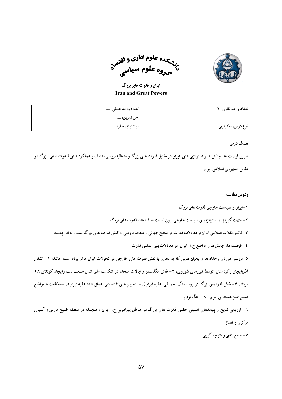

سیسی علوم اداری و اقتصر<br>پخشی مو علوم سیدار ۔<br><sub>مرو</sub>و علوم سیا<sub>سی</sub>

ایران و قدرت های بزرگ **Iran and Great Powers** 

| تعداد واحد نظري: ٢ | تعداد واحد عملي: ـــ |
|--------------------|----------------------|
|                    |                      |
| نوع درس: اختیاری   | پیشنیاز: ندارد       |

تبیین فرصت ها، چالش ها و استراتژی های ایران در مقابل قدرت های بزرگ و متعاقبا بررسی اهداف و عملکرد هـای قـدرت هـای بـزرگ در مقابل جمهوری اسلامی ایران

# رئوس مطالب:

۱-ایران و سیاست خارجی قدرت های بزرگ

۲ - جهت گیریها و استراتژیهای سیاست خارجی ایران نسبت به اقدامات قدرت های بزرگ

۳- تاثیر انقلاب اسلامی ایران بر معادلات قدرت در سطح جهانی و متعاقبا بررسی واکنش قدرت های بزرگ نسبت به این پدیده

٤- فرصت ها، چالش ها و مواضع ج.١. ايران در معادلات بين المللي قدرت

۰-بررسی موردی رخداد ها و بحران هایی که به نحوی با نقش قدرت های خارجی در تحولات ایران موثر بوده است. مانند: ۱- اشغال آذربایجان و کردستان توسط نیروهای شوروی، ۲- نقش انگلستان و ایالات متحده در شکست ملی شدن صنعت نفت وایجاد کودتای ۲۸ مرداد، ۳- نقش قدرتهای بزرگ در روند جنگ تحمیلی علیه ایران٤،- تحریم های اقتصادی اعمال شده علیه ایران٥، -مخالفت با مواضع صلح آمیز هسته ای ایران، ۲- جنگ نرم و . . .

٦- ارزیابی نتایج و پیامدهای امنیتی حضور قدرت های بزرگ در مناطق پیرامونی ج.ا.ایران ، منجمله در منطقه خلیج فارس و آسیای مركزي و قفقاز

۷- جمع بندی و نتیجه گیری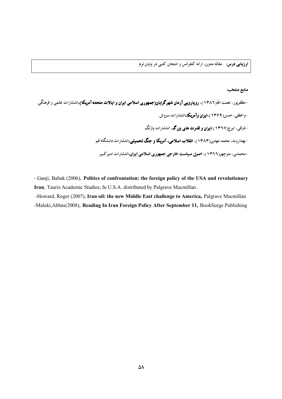**ارزیابی درس:** مقاله مدون، ارائه کنفرانس و امتحان کتبی در پایان ترم

## منابع منتخب:

- Ganji, Babak (2006), Politics of confrontation: the foreign policy of the USA and revolutionary Iran, Tauris Academic Studies; In U.S.A. distributed by Palgrave Macmillan.

-Howard, Roger (2007), Iran oil: the new Middle East challenge to America, Palgrave Macmillan -Maleki, Abbas(2008), Reading In Iran Foreign Policy After September 11, BookSurge Publishing